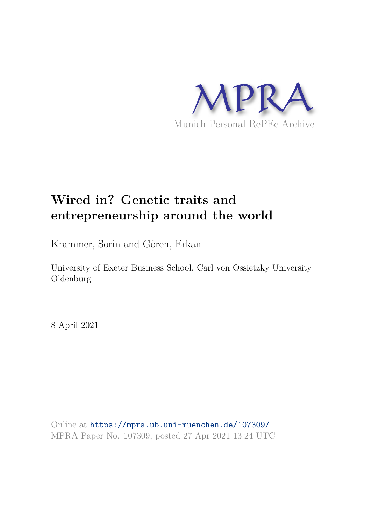

# **Wired in? Genetic traits and entrepreneurship around the world**

Krammer, Sorin and Gören, Erkan

University of Exeter Business School, Carl von Ossietzky University Oldenburg

8 April 2021

Online at https://mpra.ub.uni-muenchen.de/107309/ MPRA Paper No. 107309, posted 27 Apr 2021 13:24 UTC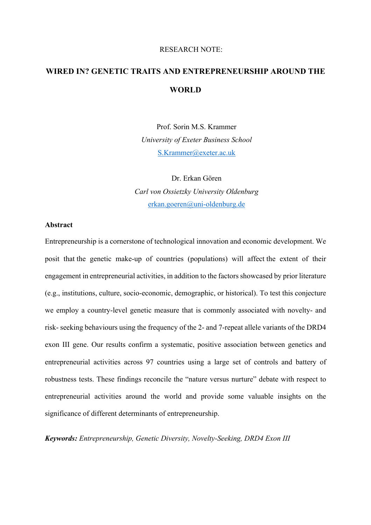#### RESEARCH NOTE:

# **WIRED IN? GENETIC TRAITS AND ENTREPRENEURSHIP AROUND THE WORLD**

Prof. Sorin M.S. Krammer *University of Exeter Business School*  S.Krammer@exeter.ac.uk

Dr. Erkan Gören *Carl von Ossietzky University Oldenburg*  erkan.goeren@uni-oldenburg.de

#### **Abstract**

Entrepreneurship is a cornerstone of technological innovation and economic development. We posit that the genetic make-up of countries (populations) will affect the extent of their engagement in entrepreneurial activities, in addition to the factors showcased by prior literature (e.g., institutions, culture, socio-economic, demographic, or historical). To test this conjecture we employ a country-level genetic measure that is commonly associated with novelty- and risk- seeking behaviours using the frequency of the 2- and 7-repeat allele variants of the DRD4 exon III gene. Our results confirm a systematic, positive association between genetics and entrepreneurial activities across 97 countries using a large set of controls and battery of robustness tests. These findings reconcile the "nature versus nurture" debate with respect to entrepreneurial activities around the world and provide some valuable insights on the significance of different determinants of entrepreneurship.

*Keywords: Entrepreneurship, Genetic Diversity, Novelty-Seeking, DRD4 Exon III*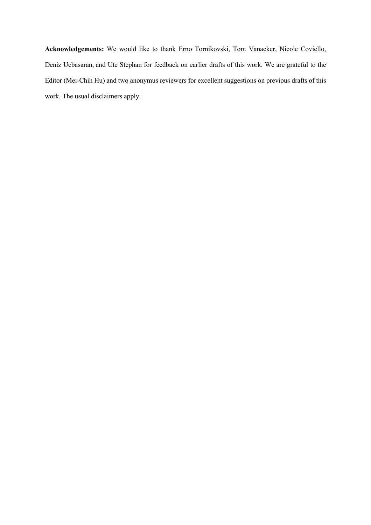**Acknowledgements:** We would like to thank Erno Tornikovski, Tom Vanacker, Nicole Coviello, Deniz Ucbasaran, and Ute Stephan for feedback on earlier drafts of this work. We are grateful to the Editor (Mei-Chih Hu) and two anonymus reviewers for excellent suggestions on previous drafts of this work. The usual disclaimers apply.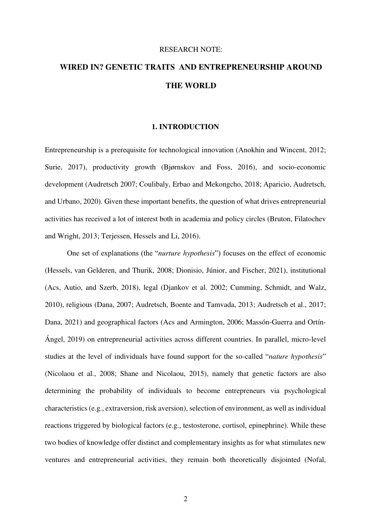#### RESEARCH NOTE:

# **WIRED IN? GENETIC TRAITS AND ENTREPRENEURSHIP AROUND THE WORLD**

#### **1. INTRODUCTION**

Entrepreneurship is a prerequisite for technological innovation (Anokhin and Wincent, 2012; Surie, 2017), productivity growth (Bjørnskov and Foss, 2016), and socio-economic development (Audretsch 2007; Coulibaly, Erbao and Mekongcho, 2018; Aparicio, Audretsch, and Urbano, 2020). Given these important benefits, the question of what drives entrepreneurial activities has received a lot of interest both in academia and policy circles (Bruton, Filatochev and Wright, 2013; Terjessen, Hessels and Li, 2016).

One set of explanations (the "*nurture hypothesis*") focuses on the effect of economic (Hessels, van Gelderen, and Thurik, 2008; Dionisio, Júnior, and Fischer, 2021), institutional (Acs, Autio, and Szerb, 2018), legal (Djankov et al. 2002; Cumming, Schmidt, and Walz, 2010), religious (Dana, 2007; Audretsch, Boente and Tamvada, 2013; Audretsch et al., 2017; Dana, 2021) and geographical factors (Acs and Armington, 2006; Massón-Guerra and Ortín-Ángel, 2019) on entrepreneurial activities across different countries. In parallel, micro-level studies at the level of individuals have found support for the so-called "*nature hypothesis*" (Nicolaou et al., 2008; Shane and Nicolaou, 2015), namely that genetic factors are also determining the probability of individuals to become entrepreneurs via psychological characteristics (e.g., extraversion, risk aversion), selection of environment, as well as individual reactions triggered by biological factors (e.g., testosterone, cortisol, epinephrine). While these two bodies of knowledge offer distinct and complementary insights as for what stimulates new ventures and entrepreneurial activities, they remain both theoretically disjointed (Nofal,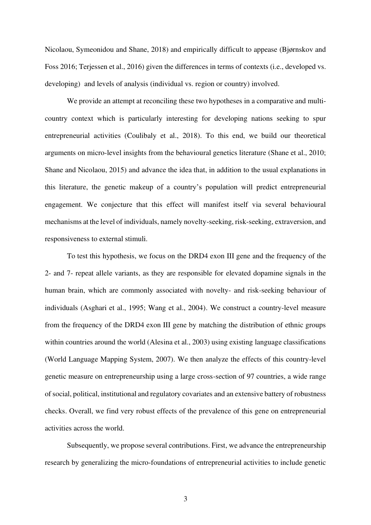Nicolaou, Symeonidou and Shane, 2018) and empirically difficult to appease (Bjørnskov and Foss 2016; Terjessen et al., 2016) given the differences in terms of contexts (i.e., developed vs. developing) and levels of analysis (individual vs. region or country) involved.

 We provide an attempt at reconciling these two hypotheses in a comparative and multicountry context which is particularly interesting for developing nations seeking to spur entrepreneurial activities (Coulibaly et al., 2018). To this end, we build our theoretical arguments on micro-level insights from the behavioural genetics literature (Shane et al., 2010; Shane and Nicolaou, 2015) and advance the idea that, in addition to the usual explanations in this literature, the genetic makeup of a country's population will predict entrepreneurial engagement. We conjecture that this effect will manifest itself via several behavioural mechanisms at the level of individuals, namely novelty-seeking, risk-seeking, extraversion, and responsiveness to external stimuli.

To test this hypothesis, we focus on the DRD4 exon III gene and the frequency of the 2- and 7- repeat allele variants, as they are responsible for elevated dopamine signals in the human brain, which are commonly associated with novelty- and risk-seeking behaviour of individuals (Asghari et al., 1995; Wang et al., 2004). We construct a country-level measure from the frequency of the DRD4 exon III gene by matching the distribution of ethnic groups within countries around the world (Alesina et al., 2003) using existing language classifications (World Language Mapping System, 2007). We then analyze the effects of this country-level genetic measure on entrepreneurship using a large cross-section of 97 countries, a wide range of social, political, institutional and regulatory covariates and an extensive battery of robustness checks. Overall, we find very robust effects of the prevalence of this gene on entrepreneurial activities across the world.

 Subsequently, we propose several contributions. First, we advance the entrepreneurship research by generalizing the micro-foundations of entrepreneurial activities to include genetic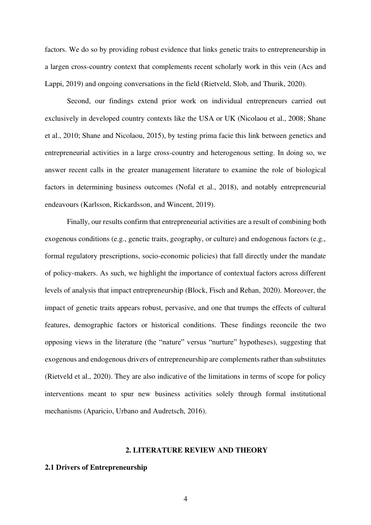factors. We do so by providing robust evidence that links genetic traits to entrepreneurship in a largen cross-country context that complements recent scholarly work in this vein (Acs and Lappi, 2019) and ongoing conversations in the field (Rietveld, Slob, and Thurik, 2020).

Second, our findings extend prior work on individual entrepreneurs carried out exclusively in developed country contexts like the USA or UK (Nicolaou et al., 2008; Shane et al., 2010; Shane and Nicolaou, 2015), by testing prima facie this link between genetics and entrepreneurial activities in a large cross-country and heterogenous setting. In doing so, we answer recent calls in the greater management literature to examine the role of biological factors in determining business outcomes (Nofal et al., 2018), and notably entrepreneurial endeavours (Karlsson, Rickardsson, and Wincent, 2019).

Finally, our results confirm that entrepreneurial activities are a result of combining both exogenous conditions (e.g., genetic traits, geography, or culture) and endogenous factors (e.g., formal regulatory prescriptions, socio-economic policies) that fall directly under the mandate of policy-makers. As such, we highlight the importance of contextual factors across different levels of analysis that impact entrepreneurship (Block, Fisch and Rehan, 2020). Moreover, the impact of genetic traits appears robust, pervasive, and one that trumps the effects of cultural features, demographic factors or historical conditions. These findings reconcile the two opposing views in the literature (the "nature" versus "nurture" hypotheses), suggesting that exogenous and endogenous drivers of entrepreneurship are complements rather than substitutes (Rietveld et al., 2020). They are also indicative of the limitations in terms of scope for policy interventions meant to spur new business activities solely through formal institutional mechanisms (Aparicio, Urbano and Audretsch, 2016).

#### **2. LITERATURE REVIEW AND THEORY**

#### **2.1 Drivers of Entrepreneurship**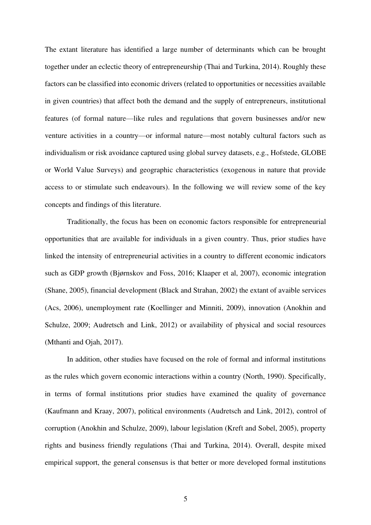The extant literature has identified a large number of determinants which can be brought together under an eclectic theory of entrepreneurship (Thai and Turkina, 2014). Roughly these factors can be classified into economic drivers (related to opportunities or necessities available in given countries) that affect both the demand and the supply of entrepreneurs, institutional features (of formal nature—like rules and regulations that govern businesses and/or new venture activities in a country—or informal nature—most notably cultural factors such as individualism or risk avoidance captured using global survey datasets, e.g., Hofstede, GLOBE or World Value Surveys) and geographic characteristics (exogenous in nature that provide access to or stimulate such endeavours). In the following we will review some of the key concepts and findings of this literature.

Traditionally, the focus has been on economic factors responsible for entrepreneurial opportunities that are available for individuals in a given country. Thus, prior studies have linked the intensity of entrepreneurial activities in a country to different economic indicators such as GDP growth (Bjørnskov and Foss, 2016; Klaaper et al, 2007), economic integration (Shane, 2005), financial development (Black and Strahan, 2002) the extant of avaible services (Acs, 2006), unemployment rate (Koellinger and Minniti, 2009), innovation (Anokhin and Schulze, 2009; Audretsch and Link, 2012) or availability of physical and social resources (Mthanti and Ojah, 2017).

In addition, other studies have focused on the role of formal and informal institutions as the rules which govern economic interactions within a country (North, 1990). Specifically, in terms of formal institutions prior studies have examined the quality of governance (Kaufmann and Kraay, 2007), political environments (Audretsch and Link, 2012), control of corruption (Anokhin and Schulze, 2009), labour legislation (Kreft and Sobel, 2005), property rights and business friendly regulations (Thai and Turkina, 2014). Overall, despite mixed empirical support, the general consensus is that better or more developed formal institutions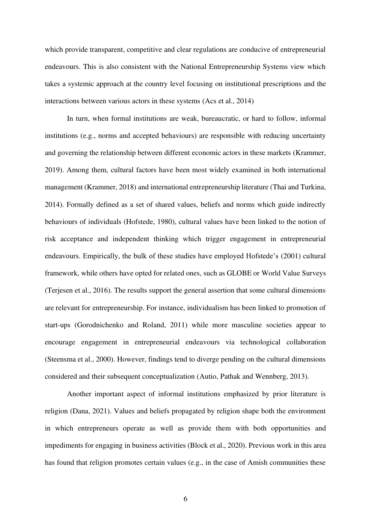which provide transparent, competitive and clear regulations are conducive of entrepreneurial endeavours. This is also consistent with the National Entrepreneurship Systems view which takes a systemic approach at the country level focusing on institutional prescriptions and the interactions between various actors in these systems (Acs et al., 2014)

 In turn, when formal institutions are weak, bureaucratic, or hard to follow, informal institutions (e.g., norms and accepted behaviours) are responsible with reducing uncertainty and governing the relationship between different economic actors in these markets (Krammer, 2019). Among them, cultural factors have been most widely examined in both international management (Krammer, 2018) and international entrepreneurship literature (Thai and Turkina, 2014). Formally defined as a set of shared values, beliefs and norms which guide indirectly behaviours of individuals (Hofstede, 1980), cultural values have been linked to the notion of risk acceptance and independent thinking which trigger engagement in entrepreneurial endeavours. Empirically, the bulk of these studies have employed Hofstede's (2001) cultural framework, while others have opted for related ones, such as GLOBE or World Value Surveys (Terjesen et al., 2016). The results support the general assertion that some cultural dimensions are relevant for entrepreneurship. For instance, individualism has been linked to promotion of start-ups (Gorodnichenko and Roland, 2011) while more masculine societies appear to encourage engagement in entrepreneurial endeavours via technological collaboration (Steensma et al., 2000). However, findings tend to diverge pending on the cultural dimensions considered and their subsequent conceptualization (Autio, Pathak and Wennberg, 2013).

 Another important aspect of informal institutions emphasized by prior literature is religion (Dana, 2021). Values and beliefs propagated by religion shape both the environment in which entrepreneurs operate as well as provide them with both opportunities and impediments for engaging in business activities (Block et al., 2020). Previous work in this area has found that religion promotes certain values (e.g., in the case of Amish communities these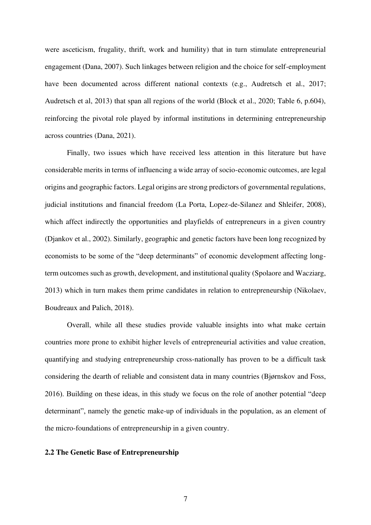were asceticism, frugality, thrift, work and humility) that in turn stimulate entrepreneurial engagement (Dana, 2007). Such linkages between religion and the choice for self-employment have been documented across different national contexts (e.g., Audretsch et al., 2017; Audretsch et al, 2013) that span all regions of the world (Block et al., 2020; Table 6, p.604), reinforcing the pivotal role played by informal institutions in determining entrepreneurship across countries (Dana, 2021).

 Finally, two issues which have received less attention in this literature but have considerable merits in terms of influencing a wide array of socio-economic outcomes, are legal origins and geographic factors. Legal origins are strong predictors of governmental regulations, judicial institutions and financial freedom (La Porta, Lopez-de-Silanez and Shleifer, 2008), which affect indirectly the opportunities and playfields of entrepreneurs in a given country (Djankov et al., 2002). Similarly, geographic and genetic factors have been long recognized by economists to be some of the "deep determinants" of economic development affecting longterm outcomes such as growth, development, and institutional quality (Spolaore and Wacziarg, 2013) which in turn makes them prime candidates in relation to entrepreneurship (Nikolaev, Boudreaux and Palich, 2018).

 Overall, while all these studies provide valuable insights into what make certain countries more prone to exhibit higher levels of entrepreneurial activities and value creation, quantifying and studying entrepreneurship cross-nationally has proven to be a difficult task considering the dearth of reliable and consistent data in many countries (Bjørnskov and Foss, 2016). Building on these ideas, in this study we focus on the role of another potential "deep determinant", namely the genetic make-up of individuals in the population, as an element of the micro-foundations of entrepreneurship in a given country.

#### **2.2 The Genetic Base of Entrepreneurship**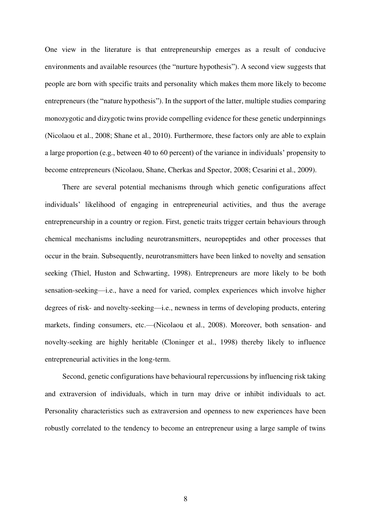One view in the literature is that entrepreneurship emerges as a result of conducive environments and available resources (the "nurture hypothesis"). A second view suggests that people are born with specific traits and personality which makes them more likely to become entrepreneurs (the "nature hypothesis"). In the support of the latter, multiple studies comparing monozygotic and dizygotic twins provide compelling evidence for these genetic underpinnings (Nicolaou et al., 2008; Shane et al., 2010). Furthermore, these factors only are able to explain a large proportion (e.g., between 40 to 60 percent) of the variance in individuals' propensity to become entrepreneurs (Nicolaou, Shane, Cherkas and Spector, 2008; Cesarini et al., 2009).

There are several potential mechanisms through which genetic configurations affect individuals' likelihood of engaging in entrepreneurial activities, and thus the average entrepreneurship in a country or region. First, genetic traits trigger certain behaviours through chemical mechanisms including neurotransmitters, neuropeptides and other processes that occur in the brain. Subsequently, neurotransmitters have been linked to novelty and sensation seeking (Thiel, Huston and Schwarting, 1998). Entrepreneurs are more likely to be both sensation-seeking—i.e., have a need for varied, complex experiences which involve higher degrees of risk- and novelty-seeking—i.e., newness in terms of developing products, entering markets, finding consumers, etc.—(Nicolaou et al., 2008). Moreover, both sensation- and novelty-seeking are highly heritable (Cloninger et al., 1998) thereby likely to influence entrepreneurial activities in the long-term.

Second, genetic configurations have behavioural repercussions by influencing risk taking and extraversion of individuals, which in turn may drive or inhibit individuals to act. Personality characteristics such as extraversion and openness to new experiences have been robustly correlated to the tendency to become an entrepreneur using a large sample of twins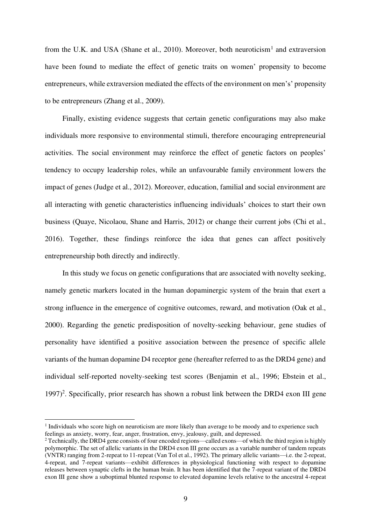from the U.K. and USA (Shane et al., 2010). Moreover, both neuroticism<sup>1</sup> and extraversion have been found to mediate the effect of genetic traits on women' propensity to become entrepreneurs, while extraversion mediated the effects of the environment on men's' propensity to be entrepreneurs (Zhang et al., 2009).

Finally, existing evidence suggests that certain genetic configurations may also make individuals more responsive to environmental stimuli, therefore encouraging entrepreneurial activities. The social environment may reinforce the effect of genetic factors on peoples' tendency to occupy leadership roles, while an unfavourable family environment lowers the impact of genes (Judge et al., 2012). Moreover, education, familial and social environment are all interacting with genetic characteristics influencing individuals' choices to start their own business (Quaye, Nicolaou, Shane and Harris, 2012) or change their current jobs (Chi et al., 2016). Together, these findings reinforce the idea that genes can affect positively entrepreneurship both directly and indirectly.

In this study we focus on genetic configurations that are associated with novelty seeking, namely genetic markers located in the human dopaminergic system of the brain that exert a strong influence in the emergence of cognitive outcomes, reward, and motivation (Oak et al., 2000). Regarding the genetic predisposition of novelty-seeking behaviour, gene studies of personality have identified a positive association between the presence of specific allele variants of the human dopamine D4 receptor gene (hereafter referred to as the DRD4 gene) and individual self-reported novelty-seeking test scores (Benjamin et al., 1996; Ebstein et al., 1997)<sup>2</sup>. Specifically, prior research has shown a robust link between the DRD4 exon III gene

<sup>&</sup>lt;sup>1</sup> Individuals who score high on neuroticism are more likely than average to be moody and to experience such feelings as anxiety, worry, fear, anger, frustration, envy, jealousy, guilt, and depressed.

<sup>&</sup>lt;sup>2</sup> Technically, the DRD4 gene consists of four encoded regions—called exons—of which the third region is highly polymorphic. The set of allelic variants in the DRD4 exon III gene occurs as a variable number of tandem repeats (VNTR) ranging from 2-repeat to 11-repeat (Van Tol et al., 1992). The primary allelic variants—i.e. the 2-repeat, 4-repeat, and 7-repeat variants—exhibit differences in physiological functioning with respect to dopamine releases between synaptic clefts in the human brain. It has been identified that the 7-repeat variant of the DRD4 exon III gene show a suboptimal blunted response to elevated dopamine levels relative to the ancestral 4-repeat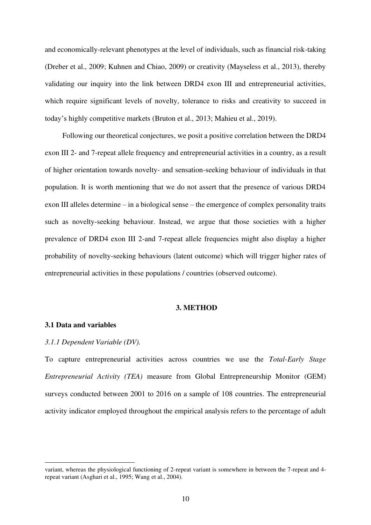and economically-relevant phenotypes at the level of individuals, such as financial risk-taking (Dreber et al., 2009; Kuhnen and Chiao, 2009) or creativity (Mayseless et al., 2013), thereby validating our inquiry into the link between DRD4 exon III and entrepreneurial activities, which require significant levels of novelty, tolerance to risks and creativity to succeed in today's highly competitive markets (Bruton et al., 2013; Mahieu et al., 2019).

Following our theoretical conjectures, we posit a positive correlation between the DRD4 exon III 2- and 7-repeat allele frequency and entrepreneurial activities in a country, as a result of higher orientation towards novelty- and sensation-seeking behaviour of individuals in that population. It is worth mentioning that we do not assert that the presence of various DRD4 exon III alleles determine – in a biological sense – the emergence of complex personality traits such as novelty-seeking behaviour. Instead, we argue that those societies with a higher prevalence of DRD4 exon III 2-and 7-repeat allele frequencies might also display a higher probability of novelty-seeking behaviours (latent outcome) which will trigger higher rates of entrepreneurial activities in these populations / countries (observed outcome).

#### **3. METHOD**

### **3.1 Data and variables**

#### *3.1.1 Dependent Variable (DV).*

To capture entrepreneurial activities across countries we use the *Total-Early Stage Entrepreneurial Activity (TEA)* measure from Global Entrepreneurship Monitor (GEM) surveys conducted between 2001 to 2016 on a sample of 108 countries. The entrepreneurial activity indicator employed throughout the empirical analysis refers to the percentage of adult

variant, whereas the physiological functioning of 2-repeat variant is somewhere in between the 7-repeat and 4 repeat variant (Asghari et al., 1995; Wang et al., 2004).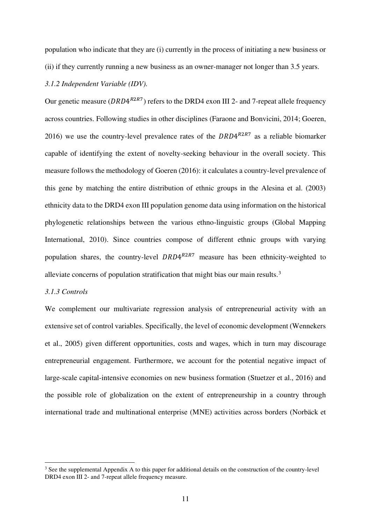population who indicate that they are (i) currently in the process of initiating a new business or (ii) if they currently running a new business as an owner-manager not longer than 3.5 years.

#### *3.1.2 Independent Variable (IDV).*

Our genetic measure ( $DRD4^{R2R7}$ ) refers to the DRD4 exon III 2- and 7-repeat allele frequency across countries. Following studies in other disciplines (Faraone and Bonvicini, 2014; Goeren, 2016) we use the country-level prevalence rates of the  $DRD4^{R2R7}$  as a reliable biomarker capable of identifying the extent of novelty-seeking behaviour in the overall society. This measure follows the methodology of Goeren (2016): it calculates a country-level prevalence of this gene by matching the entire distribution of ethnic groups in the Alesina et al. (2003) ethnicity data to the DRD4 exon III population genome data using information on the historical phylogenetic relationships between the various ethno-linguistic groups (Global Mapping International, 2010). Since countries compose of different ethnic groups with varying population shares, the country-level  $DRD4^{R2R7}$  measure has been ethnicity-weighted to alleviate concerns of population stratification that might bias our main results.<sup>3</sup>

#### *3.1.3 Controls*

We complement our multivariate regression analysis of entrepreneurial activity with an extensive set of control variables. Specifically, the level of economic development (Wennekers et al., 2005) given different opportunities, costs and wages, which in turn may discourage entrepreneurial engagement. Furthermore, we account for the potential negative impact of large-scale capital-intensive economies on new business formation (Stuetzer et al., 2016) and the possible role of globalization on the extent of entrepreneurship in a country through international trade and multinational enterprise (MNE) activities across borders (Norbäck et

<sup>&</sup>lt;sup>3</sup> See the supplemental Appendix A to this paper for additional details on the construction of the country-level DRD4 exon III 2- and 7-repeat allele frequency measure.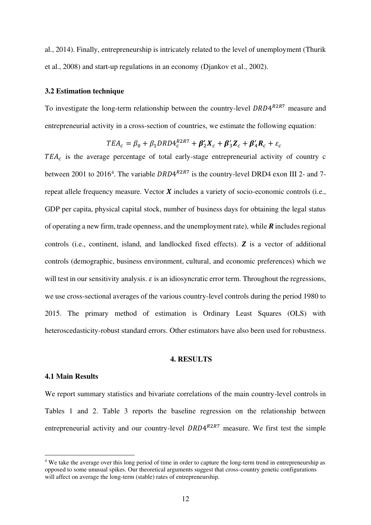al., 2014). Finally, entrepreneurship is intricately related to the level of unemployment (Thurik et al., 2008) and start-up regulations in an economy (Djankov et al., 2002).

#### **3.2 Estimation technique**

To investigate the long-term relationship between the country-level  $DRD4^{R2R7}$  measure and entrepreneurial activity in a cross-section of countries, we estimate the following equation:

$$
TEA_c = \beta_0 + \beta_1 DRD4_c^{R2R7} + \beta_2'X_c + \beta_3'Z_c + \beta_4'R_c + \varepsilon_c
$$

 $TEA_c$  is the average percentage of total early-stage entrepreneurial activity of country c between 2001 to 2016<sup>4</sup>. The variable  $DRD4^{R2R7}$  is the country-level DRD4 exon III 2- and 7repeat allele frequency measure. Vector  $X$  includes a variety of socio-economic controls (i.e., GDP per capita, physical capital stock, number of business days for obtaining the legal status of operating a new firm, trade openness, and the unemployment rate), while  $\bf{R}$  includes regional controls (i.e., continent, island, and landlocked fixed effects).  $\boldsymbol{Z}$  is a vector of additional controls (demographic, business environment, cultural, and economic preferences) which we will test in our sensitivity analysis.  $\varepsilon$  is an idiosyncratic error term. Throughout the regressions, we use cross-sectional averages of the various country-level controls during the period 1980 to 2015. The primary method of estimation is Ordinary Least Squares (OLS) with heteroscedasticity-robust standard errors. Other estimators have also been used for robustness.

#### **4. RESULTS**

#### **4.1 Main Results**

We report summary statistics and bivariate correlations of the main country-level controls in Tables 1 and 2. Table 3 reports the baseline regression on the relationship between entrepreneurial activity and our country-level  $DRD4^{R2R7}$  measure. We first test the simple

<sup>&</sup>lt;sup>4</sup> We take the average over this long period of time in order to capture the long-term trend in entrepreneurship as opposed to some unusual spikes. Our theoretical arguments suggest that cross-country genetic configurations will affect on average the long-term (stable) rates of entrepreneurship.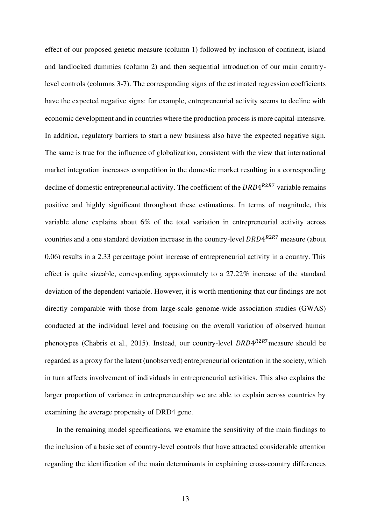effect of our proposed genetic measure (column 1) followed by inclusion of continent, island and landlocked dummies (column 2) and then sequential introduction of our main countrylevel controls (columns 3-7). The corresponding signs of the estimated regression coefficients have the expected negative signs: for example, entrepreneurial activity seems to decline with economic development and in countries where the production process is more capital-intensive. In addition, regulatory barriers to start a new business also have the expected negative sign. The same is true for the influence of globalization, consistent with the view that international market integration increases competition in the domestic market resulting in a corresponding decline of domestic entrepreneurial activity. The coefficient of the  $DRD4^{R2R7}$  variable remains positive and highly significant throughout these estimations. In terms of magnitude, this variable alone explains about 6% of the total variation in entrepreneurial activity across countries and a one standard deviation increase in the country-level  $DRD4^{R2RT}$  measure (about 0.06) results in a 2.33 percentage point increase of entrepreneurial activity in a country. This effect is quite sizeable, corresponding approximately to a 27.22% increase of the standard deviation of the dependent variable. However, it is worth mentioning that our findings are not directly comparable with those from large-scale genome-wide association studies (GWAS) conducted at the individual level and focusing on the overall variation of observed human phenotypes (Chabris et al., 2015). Instead, our country-level  $DRD4^{R2RT}$  measure should be regarded as a proxy for the latent (unobserved) entrepreneurial orientation in the society, which in turn affects involvement of individuals in entrepreneurial activities. This also explains the larger proportion of variance in entrepreneurship we are able to explain across countries by examining the average propensity of DRD4 gene.

In the remaining model specifications, we examine the sensitivity of the main findings to the inclusion of a basic set of country-level controls that have attracted considerable attention regarding the identification of the main determinants in explaining cross-country differences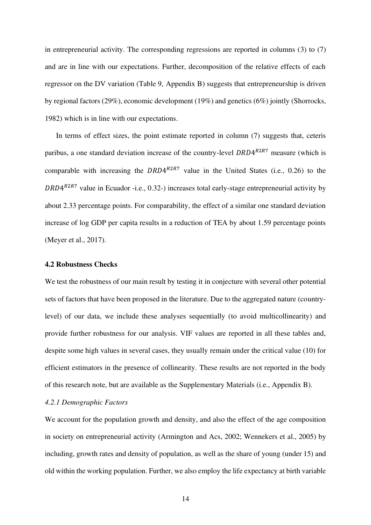in entrepreneurial activity. The corresponding regressions are reported in columns (3) to (7) and are in line with our expectations. Further, decomposition of the relative effects of each regressor on the DV variation (Table 9, Appendix B) suggests that entrepreneurship is driven by regional factors (29%), economic development (19%) and genetics (6%) jointly (Shorrocks, 1982) which is in line with our expectations.

In terms of effect sizes, the point estimate reported in column (7) suggests that, ceteris paribus, a one standard deviation increase of the country-level  $DRD4<sup>R2R7</sup>$  measure (which is comparable with increasing the  $DRD4^{R2R7}$  value in the United States (i.e., 0.26) to the  $DRD4^{R2R7}$  value in Ecuador -i.e., 0.32-) increases total early-stage entrepreneurial activity by about 2.33 percentage points. For comparability, the effect of a similar one standard deviation increase of log GDP per capita results in a reduction of TEA by about 1.59 percentage points (Meyer et al., 2017).

#### **4.2 Robustness Checks**

We test the robustness of our main result by testing it in conjecture with several other potential sets of factors that have been proposed in the literature. Due to the aggregated nature (countrylevel) of our data, we include these analyses sequentially (to avoid multicollinearity) and provide further robustness for our analysis. VIF values are reported in all these tables and, despite some high values in several cases, they usually remain under the critical value (10) for efficient estimators in the presence of collinearity. These results are not reported in the body of this research note, but are available as the Supplementary Materials (i.e., Appendix B).

#### *4.2.1 Demographic Factors*

We account for the population growth and density, and also the effect of the age composition in society on entrepreneurial activity (Armington and Acs, 2002; Wennekers et al., 2005) by including, growth rates and density of population, as well as the share of young (under 15) and old within the working population. Further, we also employ the life expectancy at birth variable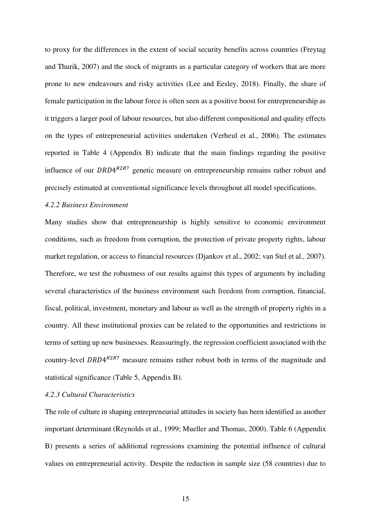to proxy for the differences in the extent of social security benefits across countries (Freytag and Thurik, 2007) and the stock of migrants as a particular category of workers that are more prone to new endeavours and risky activities (Lee and Eesley, 2018). Finally, the share of female participation in the labour force is often seen as a positive boost for entrepreneurship as it triggers a larger pool of labour resources, but also different compositional and quality effects on the types of entrepreneurial activities undertaken (Verheul et al., 2006). The estimates reported in Table 4 (Appendix B) indicate that the main findings regarding the positive influence of our  $DRD4^{R2R7}$  genetic measure on entrepreneurship remains rather robust and precisely estimated at conventional significance levels throughout all model specifications.

#### *4.2.2 Business Environment*

Many studies show that entrepreneurship is highly sensitive to economic environment conditions, such as freedom from corruption, the protection of private property rights, labour market regulation, or access to financial resources (Djankov et al., 2002; van Stel et al., 2007). Therefore, we test the robustness of our results against this types of arguments by including several characteristics of the business environment such freedom from corruption, financial, fiscal, political, investment, monetary and labour as well as the strength of property rights in a country. All these institutional proxies can be related to the opportunities and restrictions in terms of setting up new businesses. Reassuringly, the regression coefficient associated with the country-level  $DRD4^{R2R7}$  measure remains rather robust both in terms of the magnitude and statistical significance (Table 5, Appendix B).

### *4.2.3 Cultural Characteristics*

The role of culture in shaping entrepreneurial attitudes in society has been identified as another important determinant (Reynolds et al., 1999; Mueller and Thomas, 2000). Table 6 (Appendix B) presents a series of additional regressions examining the potential influence of cultural values on entrepreneurial activity. Despite the reduction in sample size (58 countries) due to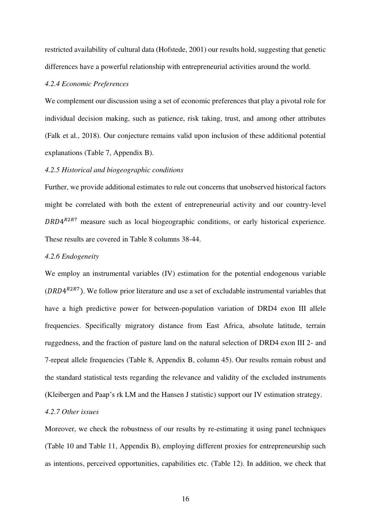restricted availability of cultural data (Hofstede, 2001) our results hold, suggesting that genetic differences have a powerful relationship with entrepreneurial activities around the world.

#### *4.2.4 Economic Preferences*

We complement our discussion using a set of economic preferences that play a pivotal role for individual decision making, such as patience, risk taking, trust, and among other attributes (Falk et al., 2018). Our conjecture remains valid upon inclusion of these additional potential explanations (Table 7, Appendix B).

#### *4.2.5 Historical and biogeographic conditions*

Further, we provide additional estimates to rule out concerns that unobserved historical factors might be correlated with both the extent of entrepreneurial activity and our country-level  $DRD4^{R2RT}$  measure such as local biogeographic conditions, or early historical experience. These results are covered in Table 8 columns 38-44.

#### *4.2.6 Endogeneity*

We employ an instrumental variables (IV) estimation for the potential endogenous variable ( $DRD4^{R2R7}$ ). We follow prior literature and use a set of excludable instrumental variables that have a high predictive power for between-population variation of DRD4 exon III allele frequencies. Specifically migratory distance from East Africa, absolute latitude, terrain ruggedness, and the fraction of pasture land on the natural selection of DRD4 exon III 2- and 7-repeat allele frequencies (Table 8, Appendix B, column 45). Our results remain robust and the standard statistical tests regarding the relevance and validity of the excluded instruments (Kleibergen and Paap's rk LM and the Hansen J statistic) support our IV estimation strategy.

#### *4.2.7 Other issues*

Moreover, we check the robustness of our results by re-estimating it using panel techniques (Table 10 and Table 11, Appendix B), employing different proxies for entrepreneurship such as intentions, perceived opportunities, capabilities etc. (Table 12). In addition, we check that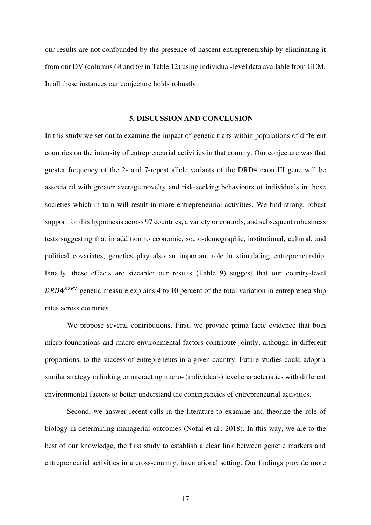our results are not confounded by the presence of nascent entrepreneurship by eliminating it from our DV (columns 68 and 69 in Table 12) using individual-level data available from GEM. In all these instances our conjecture holds robustly.

#### **5. DISCUSSION AND CONCLUSION**

In this study we set out to examine the impact of genetic traits within populations of different countries on the intensity of entrepreneurial activities in that country. Our conjecture was that greater frequency of the 2- and 7-repeat allele variants of the DRD4 exon III gene will be associated with greater average novelty and risk-seeking behaviours of individuals in those societies which in turn will result in more entrepreneurial activities. We find strong, robust support for this hypothesis across 97 countries, a variety or controls, and subsequent robustness tests suggesting that in addition to economic, socio-demographic, institutional, cultural, and political covariates, genetics play also an important role in stimulating entrepreneurship. Finally, these effects are sizeable: our results (Table 9) suggest that our country-level  $DRD4^{R2RT}$  genetic measure explains 4 to 10 percent of the total variation in entrepreneurship rates across countries.

We propose several contributions. First, we provide prima facie evidence that both micro-foundations and macro-environmental factors contribute jointly, although in different proportions, to the success of entrepreneurs in a given country. Future studies could adopt a similar strategy in linking or interacting micro- (individual-) level characteristics with different environmental factors to better understand the contingencies of entrepreneurial activities.

 Second, we answer recent calls in the literature to examine and theorize the role of biology in determining managerial outcomes (Nofal et al., 2018). In this way, we are to the best of our knowledge, the first study to establish a clear link between genetic markers and entrepreneurial activities in a cross-country, international setting. Our findings provide more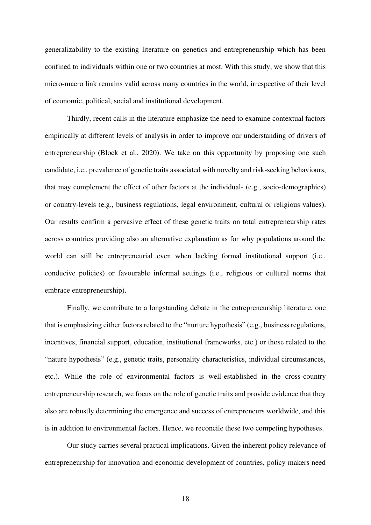generalizability to the existing literature on genetics and entrepreneurship which has been confined to individuals within one or two countries at most. With this study, we show that this micro-macro link remains valid across many countries in the world, irrespective of their level of economic, political, social and institutional development.

 Thirdly, recent calls in the literature emphasize the need to examine contextual factors empirically at different levels of analysis in order to improve our understanding of drivers of entrepreneurship (Block et al., 2020). We take on this opportunity by proposing one such candidate, i.e., prevalence of genetic traits associated with novelty and risk-seeking behaviours, that may complement the effect of other factors at the individual- (e.g., socio-demographics) or country-levels (e.g., business regulations, legal environment, cultural or religious values). Our results confirm a pervasive effect of these genetic traits on total entrepreneurship rates across countries providing also an alternative explanation as for why populations around the world can still be entrepreneurial even when lacking formal institutional support (i.e., conducive policies) or favourable informal settings (i.e., religious or cultural norms that embrace entrepreneurship).

 Finally, we contribute to a longstanding debate in the entrepreneurship literature, one that is emphasizing either factors related to the "nurture hypothesis" (e.g., business regulations, incentives, financial support, education, institutional frameworks, etc.) or those related to the "nature hypothesis" (e.g., genetic traits, personality characteristics, individual circumstances, etc.). While the role of environmental factors is well-established in the cross-country entrepreneurship research, we focus on the role of genetic traits and provide evidence that they also are robustly determining the emergence and success of entrepreneurs worldwide, and this is in addition to environmental factors. Hence, we reconcile these two competing hypotheses.

Our study carries several practical implications. Given the inherent policy relevance of entrepreneurship for innovation and economic development of countries, policy makers need

18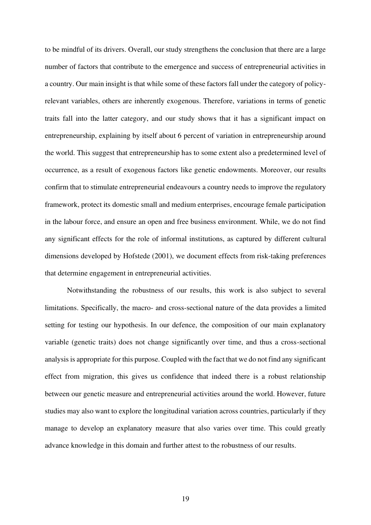to be mindful of its drivers. Overall, our study strengthens the conclusion that there are a large number of factors that contribute to the emergence and success of entrepreneurial activities in a country. Our main insight is that while some of these factors fall under the category of policyrelevant variables, others are inherently exogenous. Therefore, variations in terms of genetic traits fall into the latter category, and our study shows that it has a significant impact on entrepreneurship, explaining by itself about 6 percent of variation in entrepreneurship around the world. This suggest that entrepreneurship has to some extent also a predetermined level of occurrence, as a result of exogenous factors like genetic endowments. Moreover, our results confirm that to stimulate entrepreneurial endeavours a country needs to improve the regulatory framework, protect its domestic small and medium enterprises, encourage female participation in the labour force, and ensure an open and free business environment. While, we do not find any significant effects for the role of informal institutions, as captured by different cultural dimensions developed by Hofstede (2001), we document effects from risk-taking preferences that determine engagement in entrepreneurial activities.

Notwithstanding the robustness of our results, this work is also subject to several limitations. Specifically, the macro- and cross-sectional nature of the data provides a limited setting for testing our hypothesis. In our defence, the composition of our main explanatory variable (genetic traits) does not change significantly over time, and thus a cross-sectional analysis is appropriate for this purpose. Coupled with the fact that we do not find any significant effect from migration, this gives us confidence that indeed there is a robust relationship between our genetic measure and entrepreneurial activities around the world. However, future studies may also want to explore the longitudinal variation across countries, particularly if they manage to develop an explanatory measure that also varies over time. This could greatly advance knowledge in this domain and further attest to the robustness of our results.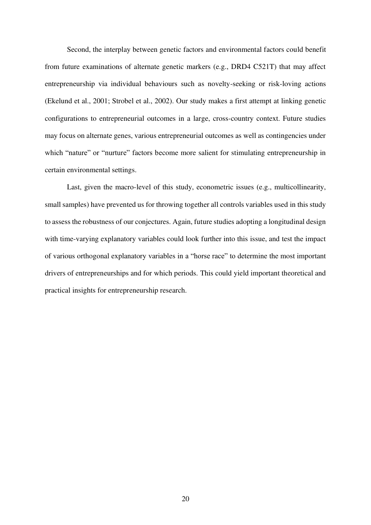Second, the interplay between genetic factors and environmental factors could benefit from future examinations of alternate genetic markers (e.g., DRD4 C521T) that may affect entrepreneurship via individual behaviours such as novelty-seeking or risk-loving actions (Ekelund et al., 2001; Strobel et al., 2002). Our study makes a first attempt at linking genetic configurations to entrepreneurial outcomes in a large, cross-country context. Future studies may focus on alternate genes, various entrepreneurial outcomes as well as contingencies under which "nature" or "nurture" factors become more salient for stimulating entrepreneurship in certain environmental settings.

Last, given the macro-level of this study, econometric issues (e.g., multicollinearity, small samples) have prevented us for throwing together all controls variables used in this study to assess the robustness of our conjectures. Again, future studies adopting a longitudinal design with time-varying explanatory variables could look further into this issue, and test the impact of various orthogonal explanatory variables in a "horse race" to determine the most important drivers of entrepreneurships and for which periods. This could yield important theoretical and practical insights for entrepreneurship research.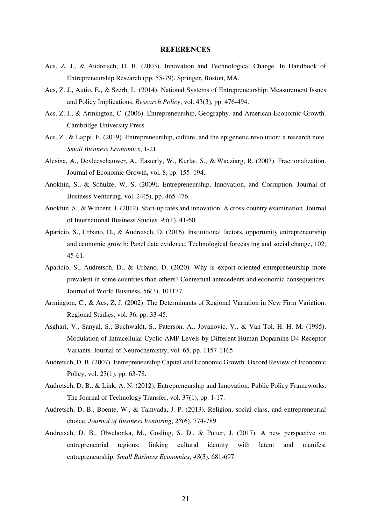#### **REFERENCES**

- Acs, Z. J., & Audretsch, D. B. (2003). Innovation and Technological Change. In Handbook of Entrepreneurship Research (pp. 55-79). Springer, Boston, MA.
- Acs, Z. J., Autio, E., & Szerb, L. (2014). National Systems of Entrepreneurship: Measurement Issues and Policy Implications. *Research Policy*, vol. 43(3), pp. 476-494.
- Acs, Z. J., & Armington, C. (2006). Entrepreneurship, Geography, and American Economic Growth. Cambridge University Press.
- Acs, Z., & Lappi, E. (2019). Entrepreneurship, culture, and the epigenetic revolution: a research note. *Small Business Economics*, 1-21.
- Alesina, A., Devleeschauwer, A., Easterly, W., Kurlat, S., & Wacziarg, R. (2003). Fractionalization. Journal of Economic Growth, vol. 8, pp. 155–194.
- Anokhin, S., & Schulze, W. S. (2009). Entrepreneurship, Innovation, and Corruption. Journal of Business Venturing, vol. 24(5), pp. 465-476.
- Anokhin, S., & Wincent, J. (2012). Start-up rates and innovation: A cross-country examination. Journal of International Business Studies*, 43*(1), 41-60.
- Aparicio, S., Urbano, D., & Audretsch, D. (2016). Institutional factors, opportunity entrepreneurship and economic growth: Panel data evidence. Technological forecasting and social change, 102, 45-61.
- Aparicio, S., Audretsch, D., & Urbano, D. (2020). Why is export-oriented entrepreneurship more prevalent in some countries than others? Contextual antecedents and economic consequences. Journal of World Business, 56(3), 101177.
- Armington, C., & Acs, Z. J. (2002). The Determinants of Regional Variation in New Firm Variation. Regional Studies, vol. 36, pp. 33-45.
- Asghari, V., Sanyal, S., Buchwaldt, S., Paterson, A., Jovanovic, V., & Van Tol, H. H. M. (1995). Modulation of Intracellular Cyclic AMP Levels by Different Human Dopamine D4 Receptor Variants. Journal of Neurochemistry, vol. 65, pp. 1157-1165.
- Audretsch, D. B. (2007). Entrepreneurship Capital and Economic Growth. Oxford Review of Economic Policy, vol. 23(1), pp. 63-78.
- Audretsch, D. B., & Link, A. N. (2012). Entrepreneurship and Innovation: Public Policy Frameworks. The Journal of Technology Transfer, vol. 37(1), pp. 1-17.
- Audretsch, D. B., Boente, W., & Tamvada, J. P. (2013). Religion, social class, and entrepreneurial choice. *Journal of Business Venturing*, *28*(6), 774-789.
- Audretsch, D. B., Obschonka, M., Gosling, S. D., & Potter, J. (2017). A new perspective on entrepreneurial regions: linking cultural identity with latent and manifest entrepreneurship. *Small Business Economics*, *48*(3), 681-697.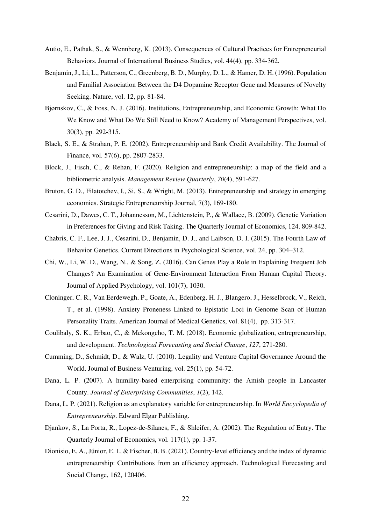- Autio, E., Pathak, S., & Wennberg, K. (2013). Consequences of Cultural Practices for Entrepreneurial Behaviors. Journal of International Business Studies, vol. 44(4), pp. 334-362.
- Benjamin, J., Li, L., Patterson, C., Greenberg, B. D., Murphy, D. L., & Hamer, D. H. (1996). Population and Familial Association Between the D4 Dopamine Receptor Gene and Measures of Novelty Seeking. Nature, vol. 12, pp. 81-84.
- Bjørnskov, C., & Foss, N. J. (2016). Institutions, Entrepreneurship, and Economic Growth: What Do We Know and What Do We Still Need to Know? Academy of Management Perspectives, vol. 30(3), pp. 292-315.
- Black, S. E., & Strahan, P. E. (2002). Entrepreneurship and Bank Credit Availability. The Journal of Finance, vol. 57(6), pp. 2807-2833.
- Block, J., Fisch, C., & Rehan, F. (2020). Religion and entrepreneurship: a map of the field and a bibliometric analysis. *Management Review Quarterly*, *70*(4), 591-627.
- Bruton, G. D., Filatotchev, I., Si, S., & Wright, M. (2013). Entrepreneurship and strategy in emerging economies. Strategic Entrepreneurship Journal, 7(3), 169-180.
- Cesarini, D., Dawes, C. T., Johannesson, M., Lichtenstein, P., & Wallace, B. (2009). Genetic Variation in Preferences for Giving and Risk Taking. The Quarterly Journal of Economics, 124. 809-842.
- Chabris, C. F., Lee, J. J., Cesarini, D., Benjamin, D. J., and Laibson, D. I. (2015). The Fourth Law of Behavior Genetics. Current Directions in Psychological Science, vol. 24, pp. 304–312.
- Chi, W., Li, W. D., Wang, N., & Song, Z. (2016). Can Genes Play a Role in Explaining Frequent Job Changes? An Examination of Gene-Environment Interaction From Human Capital Theory. Journal of Applied Psychology, vol. 101(7), 1030.
- Cloninger, C. R., Van Eerdewegh, P., Goate, A., Edenberg, H. J., Blangero, J., Hesselbrock, V., Reich, T., et al. (1998). Anxiety Proneness Linked to Epistatic Loci in Genome Scan of Human Personality Traits. American Journal of Medical Genetics, vol. 81(4), pp. 313-317.
- Coulibaly, S. K., Erbao, C., & Mekongcho, T. M. (2018). Economic globalization, entrepreneurship, and development. *Technological Forecasting and Social Change*, *127*, 271-280.
- Cumming, D., Schmidt, D., & Walz, U. (2010). Legality and Venture Capital Governance Around the World. Journal of Business Venturing, vol. 25(1), pp. 54-72.
- Dana, L. P. (2007). A humility-based enterprising community: the Amish people in Lancaster County. *Journal of Enterprising Communities*, *1*(2), 142.
- Dana, L. P. (2021). Religion as an explanatory variable for entrepreneurship. In *World Encyclopedia of Entrepreneurship*. Edward Elgar Publishing.
- Djankov, S., La Porta, R., Lopez-de-Silanes, F., & Shleifer, A. (2002). The Regulation of Entry. The Quarterly Journal of Economics, vol. 117(1), pp. 1-37.
- Dionisio, E. A., Júnior, E. I., & Fischer, B. B. (2021). Country-level efficiency and the index of dynamic entrepreneurship: Contributions from an efficiency approach. Technological Forecasting and Social Change, 162, 120406.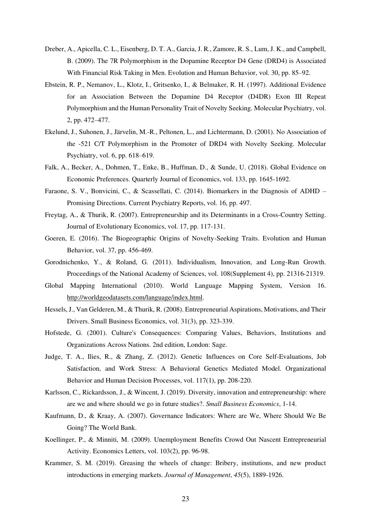- Dreber, A., Apicella, C. L., Eisenberg, D. T. A., Garcia, J. R., Zamore, R. S., Lum, J. K., and Campbell, B. (2009). The 7R Polymorphism in the Dopamine Receptor D4 Gene (DRD4) is Associated With Financial Risk Taking in Men. Evolution and Human Behavior, vol. 30, pp. 85–92.
- Ebstein, R. P., Nemanov, L., Klotz, I., Gritsenko, I., & Belmaker, R. H. (1997). Additional Evidence for an Association Between the Dopamine D4 Receptor (D4DR) Exon III Repeat Polymorphism and the Human Personality Trait of Novelty Seeking. Molecular Psychiatry, vol. 2, pp. 472–477.
- Ekelund, J., Suhonen, J., Järvelin, M.-R., Peltonen, L., and Lichtermann, D. (2001). No Association of the -521 C/T Polymorphism in the Promoter of DRD4 with Novelty Seeking. Molecular Psychiatry, vol. 6, pp. 618–619.
- Falk, A., Becker, A., Dohmen, T., Enke, B., Huffman, D., & Sunde, U. (2018). Global Evidence on Economic Preferences. Quarterly Journal of Economics, vol. 133, pp. 1645-1692.
- Faraone, S. V., Bonvicini, C., & Scassellati, C. (2014). Biomarkers in the Diagnosis of ADHD Promising Directions. Current Psychiatry Reports, vol. 16, pp. 497.
- Freytag, A., & Thurik, R. (2007). Entrepreneurship and its Determinants in a Cross-Country Setting. Journal of Evolutionary Economics, vol. 17, pp. 117-131.
- Goeren, E. (2016). The Biogeographic Origins of Novelty-Seeking Traits. Evolution and Human Behavior, vol. 37, pp. 456-469.
- Gorodnichenko, Y., & Roland, G. (2011). Individualism, Innovation, and Long-Run Growth. Proceedings of the National Academy of Sciences, vol. 108(Supplement 4), pp. 21316-21319.
- Global Mapping International (2010). World Language Mapping System, Version 16. [http://worldgeodatasets.com/language/index.html.](http://worldgeodatasets.com/language/index.html)
- Hessels, J., Van Gelderen, M., & Thurik, R. (2008). Entrepreneurial Aspirations, Motivations, and Their Drivers. Small Business Economics, vol. 31(3), pp. 323-339.
- Hofstede, G. (2001). Culture's Consequences: Comparing Values, Behaviors, Institutions and Organizations Across Nations. 2nd edition, London: Sage.
- Judge, T. A., Ilies, R., & Zhang, Z. (2012). Genetic Influences on Core Self-Evaluations, Job Satisfaction, and Work Stress: A Behavioral Genetics Mediated Model. Organizational Behavior and Human Decision Processes, vol. 117(1), pp. 208-220.
- Karlsson, C., Rickardsson, J., & Wincent, J. (2019). Diversity, innovation and entrepreneurship: where are we and where should we go in future studies?. *Small Business Economics*, 1-14.
- Kaufmann, D., & Kraay, A. (2007). Governance Indicators: Where are We, Where Should We Be Going? The World Bank.
- Koellinger, P., & Minniti, M. (2009). Unemployment Benefits Crowd Out Nascent Entrepreneurial Activity. Economics Letters, vol. 103(2), pp. 96-98.
- Krammer, S. M. (2019). Greasing the wheels of change: Bribery, institutions, and new product introductions in emerging markets. *Journal of Management*, *45*(5), 1889-1926.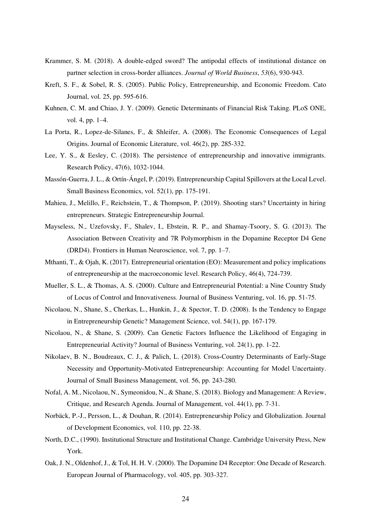- Krammer, S. M. (2018). A double-edged sword? The antipodal effects of institutional distance on partner selection in cross-border alliances. *Journal of World Business*, *53*(6), 930-943.
- Kreft, S. F., & Sobel, R. S. (2005). Public Policy, Entrepreneurship, and Economic Freedom. Cato Journal, vol. 25, pp. 595-616.
- Kuhnen, C. M. and Chiao, J. Y. (2009). Genetic Determinants of Financial Risk Taking. PLoS ONE, vol. 4, pp. 1–4.
- La Porta, R., Lopez-de-Silanes, F., & Shleifer, A. (2008). The Economic Consequences of Legal Origins. Journal of Economic Literature, vol. 46(2), pp. 285-332.
- Lee, Y. S., & Eesley, C. (2018). The persistence of entrepreneurship and innovative immigrants. Research Policy, 47(6), 1032-1044.
- Massón-Guerra, J. L., & Ortín-Ángel, P. (2019). Entrepreneurship Capital Spillovers at the Local Level. Small Business Economics, vol. 52(1), pp. 175-191.
- Mahieu, J., Melillo, F., Reichstein, T., & Thompson, P. (2019). Shooting stars? Uncertainty in hiring entrepreneurs. Strategic Entrepreneurship Journal.
- Mayseless, N., Uzefovsky, F., Shalev, I., Ebstein, R. P., and Shamay-Tsoory, S. G. (2013). The Association Between Creativity and 7R Polymorphism in the Dopamine Receptor D4 Gene (DRD4). Frontiers in Human Neuroscience, vol. 7, pp. 1–7.
- Mthanti, T., & Ojah, K. (2017). Entrepreneurial orientation (EO): Measurement and policy implications of entrepreneurship at the macroeconomic level. Research Policy, 46(4), 724-739.
- Mueller, S. L., & Thomas, A. S. (2000). Culture and Entrepreneurial Potential: a Nine Country Study of Locus of Control and Innovativeness. Journal of Business Venturing, vol. 16, pp. 51-75.
- Nicolaou, N., Shane, S., Cherkas, L., Hunkin, J., & Spector, T. D. (2008). Is the Tendency to Engage in Entrepreneurship Genetic? Management Science, vol. 54(1), pp. 167-179.
- Nicolaou, N., & Shane, S. (2009). Can Genetic Factors Influence the Likelihood of Engaging in Entrepreneurial Activity? Journal of Business Venturing, vol. 24(1), pp. 1-22.
- Nikolaev, B. N., Boudreaux, C. J., & Palich, L. (2018). Cross‐Country Determinants of Early‐Stage Necessity and Opportunity‐Motivated Entrepreneurship: Accounting for Model Uncertainty. Journal of Small Business Management, vol. 56, pp. 243-280.
- Nofal, A. M., Nicolaou, N., Symeonidou, N., & Shane, S. (2018). Biology and Management: A Review, Critique, and Research Agenda. Journal of Management, vol. 44(1), pp. 7-31.
- Norbäck, P.-J., Persson, L., & Douhan, R. (2014). Entrepreneurship Policy and Globalization. Journal of Development Economics, vol. 110, pp. 22-38.
- North, D.C., (1990). Institutional Structure and Institutional Change. Cambridge University Press, New York.
- Oak, J. N., Oldenhof, J., & Tol, H. H. V. (2000). The Dopamine D4 Receptor: One Decade of Research. European Journal of Pharmacology, vol. 405, pp. 303-327.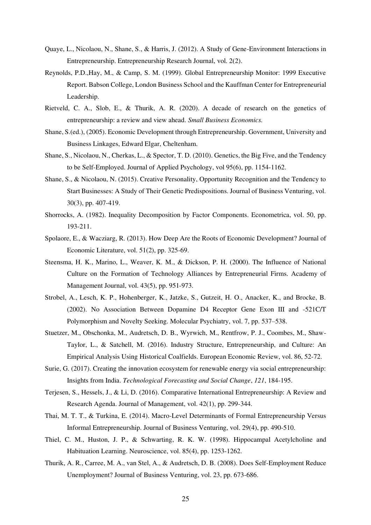- Quaye, L., Nicolaou, N., Shane, S., & Harris, J. (2012). A Study of Gene-Environment Interactions in Entrepreneurship. Entrepreneurship Research Journal, vol. 2(2).
- Reynolds, P.D.,Hay, M., & Camp, S. M. (1999). Global Entrepreneurship Monitor: 1999 Executive Report. Babson College, London Business School and the Kauffman Center for Entrepreneurial Leadership.
- Rietveld, C. A., Slob, E., & Thurik, A. R. (2020). A decade of research on the genetics of entrepreneurship: a review and view ahead. *Small Business Economics.*
- Shane, S.(ed.), (2005). Economic Development through Entrepreneurship. Government, University and Business Linkages, Edward Elgar, Cheltenham.
- Shane, S., Nicolaou, N., Cherkas, L., & Spector, T. D. (2010). Genetics, the Big Five, and the Tendency to be Self-Employed. Journal of Applied Psychology, vol 95(6), pp. 1154-1162.
- Shane, S., & Nicolaou, N. (2015). Creative Personality, Opportunity Recognition and the Tendency to Start Businesses: A Study of Their Genetic Predispositions. Journal of Business Venturing, vol. 30(3), pp. 407-419.
- Shorrocks, A. (1982). Inequality Decomposition by Factor Components. Econometrica, vol. 50, pp. 193-211.
- Spolaore, E., & Wacziarg, R. (2013). How Deep Are the Roots of Economic Development? Journal of Economic Literature, vol. 51(2), pp. 325-69.
- Steensma, H. K., Marino, L., Weaver, K. M., & Dickson, P. H. (2000). The Influence of National Culture on the Formation of Technology Alliances by Entrepreneurial Firms. Academy of Management Journal, vol. 43(5), pp. 951-973.
- Strobel, A., Lesch, K. P., Hohenberger, K., Jatzke, S., Gutzeit, H. O., Anacker, K., and Brocke, B. (2002). No Association Between Dopamine D4 Receptor Gene Exon III and -521C/T Polymorphism and Novelty Seeking. Molecular Psychiatry, vol. 7, pp. 537–538.
- Stuetzer, M., Obschonka, M., Audretsch, D. B., Wyrwich, M., Rentfrow, P. J., Coombes, M., Shaw-Taylor, L., & Satchell, M. (2016). Industry Structure, Entrepreneurship, and Culture: An Empirical Analysis Using Historical Coalfields. European Economic Review, vol. 86, 52-72.
- Surie, G. (2017). Creating the innovation ecosystem for renewable energy via social entrepreneurship: Insights from India. *Technological Forecasting and Social Change*, *121*, 184-195.
- Terjesen, S., Hessels, J., & Li, D. (2016). Comparative International Entrepreneurship: A Review and Research Agenda. Journal of Management, vol. 42(1), pp. 299-344.
- Thai, M. T. T., & Turkina, E. (2014). Macro-Level Determinants of Formal Entrepreneurship Versus Informal Entrepreneurship. Journal of Business Venturing, vol. 29(4), pp. 490-510.
- Thiel, C. M., Huston, J. P., & Schwarting, R. K. W. (1998). Hippocampal Acetylcholine and Habituation Learning. Neuroscience, vol. 85(4), pp. 1253-1262.
- Thurik, A. R., Carree, M. A., van Stel, A., & Audretsch, D. B. (2008). Does Self-Employment Reduce Unemployment? Journal of Business Venturing, vol. 23, pp. 673-686.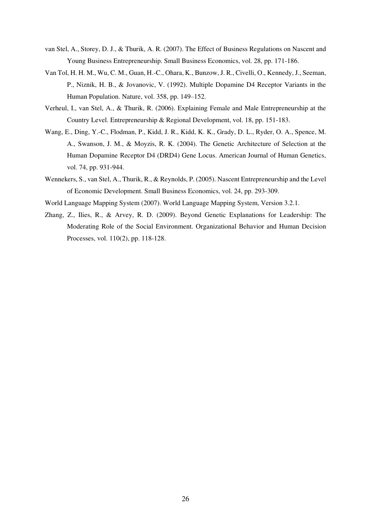- van Stel, A., Storey, D. J., & Thurik, A. R. (2007). The Effect of Business Regulations on Nascent and Young Business Entrepreneurship. Small Business Economics, vol. 28, pp. 171-186.
- Van Tol, H. H. M., Wu, C. M., Guan, H.-C., Ohara, K., Bunzow, J. R., Civelli, O., Kennedy, J., Seeman, P., Niznik, H. B., & Jovanovic, V. (1992). Multiple Dopamine D4 Receptor Variants in the Human Population. Nature, vol. 358, pp. 149–152.
- Verheul, I., van Stel, A., & Thurik, R. (2006). Explaining Female and Male Entrepreneurship at the Country Level. Entrepreneurship & Regional Development, vol. 18, pp. 151-183.
- Wang, E., Ding, Y.-C., Flodman, P., Kidd, J. R., Kidd, K. K., Grady, D. L., Ryder, O. A., Spence, M. A., Swanson, J. M., & Moyzis, R. K. (2004). The Genetic Architecture of Selection at the Human Dopamine Receptor D4 (DRD4) Gene Locus. American Journal of Human Genetics, vol. 74, pp. 931-944.
- Wennekers, S., van Stel, A., Thurik, R., & Reynolds, P. (2005). Nascent Entrepreneurship and the Level of Economic Development. Small Business Economics, vol. 24, pp. 293-309.
- World Language Mapping System (2007). World Language Mapping System, Version 3.2.1.
- Zhang, Z., Ilies, R., & Arvey, R. D. (2009). Beyond Genetic Explanations for Leadership: The Moderating Role of the Social Environment. Organizational Behavior and Human Decision Processes, vol. 110(2), pp. 118-128.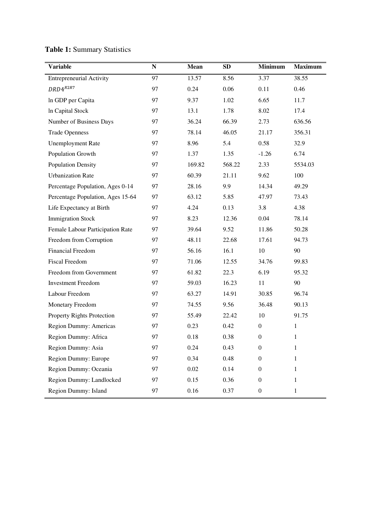| <b>Variable</b>                   | ${\bf N}$ | Mean   | SD     | Minimum          | <b>Maximum</b> |
|-----------------------------------|-----------|--------|--------|------------------|----------------|
| <b>Entrepreneurial Activity</b>   | 97        | 13.57  | 8.56   | 3.37             | 38.55          |
| $DRD4^{R2R7}$                     | 97        | 0.24   | 0.06   | 0.11             | 0.46           |
| In GDP per Capita                 | 97        | 9.37   | 1.02   | 6.65             | 11.7           |
| In Capital Stock                  | 97        | 13.1   | 1.78   | 8.02             | 17.4           |
| Number of Business Days           | 97        | 36.24  | 66.39  | 2.73             | 636.56         |
| <b>Trade Openness</b>             | 97        | 78.14  | 46.05  | 21.17            | 356.31         |
| <b>Unemployment Rate</b>          | 97        | 8.96   | 5.4    | 0.58             | 32.9           |
| Population Growth                 | 97        | 1.37   | 1.35   | $-1.26$          | 6.74           |
| <b>Population Density</b>         | 97        | 169.82 | 568.22 | 2.33             | 5534.03        |
| <b>Urbanization Rate</b>          | 97        | 60.39  | 21.11  | 9.62             | 100            |
| Percentage Population, Ages 0-14  | 97        | 28.16  | 9.9    | 14.34            | 49.29          |
| Percentage Population, Ages 15-64 | 97        | 63.12  | 5.85   | 47.97            | 73.43          |
| Life Expectancy at Birth          | 97        | 4.24   | 0.13   | 3.8              | 4.38           |
| <b>Immigration Stock</b>          | 97        | 8.23   | 12.36  | 0.04             | 78.14          |
| Female Labour Participation Rate  | 97        | 39.64  | 9.52   | 11.86            | 50.28          |
| Freedom from Corruption           | 97        | 48.11  | 22.68  | 17.61            | 94.73          |
| <b>Financial Freedom</b>          | 97        | 56.16  | 16.1   | 10               | 90             |
| <b>Fiscal Freedom</b>             | 97        | 71.06  | 12.55  | 34.76            | 99.83          |
| Freedom from Government           | 97        | 61.82  | 22.3   | 6.19             | 95.32          |
| <b>Investment Freedom</b>         | 97        | 59.03  | 16.23  | 11               | 90             |
| Labour Freedom                    | 97        | 63.27  | 14.91  | 30.85            | 96.74          |
| Monetary Freedom                  | 97        | 74.55  | 9.56   | 36.48            | 90.13          |
| Property Rights Protection        | 97        | 55.49  | 22.42  | 10               | 91.75          |
| Region Dummy: Americas            | 97        | 0.23   | 0.42   | $\overline{0}$   | $\mathbf{1}$   |
| Region Dummy: Africa              | 97        | 0.18   | 0.38   | $\boldsymbol{0}$ | $\mathbf{1}$   |
| Region Dummy: Asia                | 97        | 0.24   | 0.43   | $\boldsymbol{0}$ | $\mathbf{1}$   |
| Region Dummy: Europe              | 97        | 0.34   | 0.48   | $\boldsymbol{0}$ | 1              |
| Region Dummy: Oceania             | 97        | 0.02   | 0.14   | $\boldsymbol{0}$ | 1              |
| Region Dummy: Landlocked          | 97        | 0.15   | 0.36   | $\boldsymbol{0}$ | 1              |
| Region Dummy: Island              | 97        | 0.16   | 0.37   | $\boldsymbol{0}$ | $\mathbf{1}$   |

# **Table 1:** Summary Statistics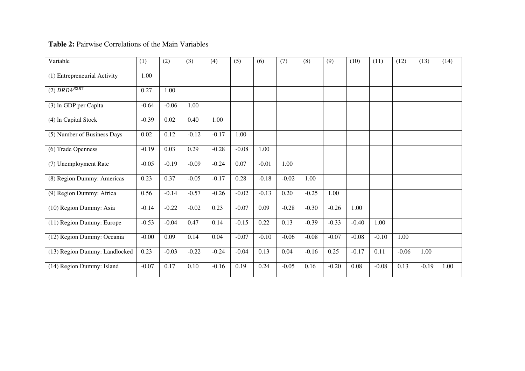### **Table 2:** Pairwise Correlations of the Main Variables

| Variable                      | (1)     | (2)     | (3)     | (4)     | (5)     | (6)     | (7)     | (8)     | (9)     | (10)    | (11)    | (12)    | (13)    | (14) |
|-------------------------------|---------|---------|---------|---------|---------|---------|---------|---------|---------|---------|---------|---------|---------|------|
| (1) Entrepreneurial Activity  | 1.00    |         |         |         |         |         |         |         |         |         |         |         |         |      |
| (2) $DRD4^{R2R7}$             | 0.27    | 1.00    |         |         |         |         |         |         |         |         |         |         |         |      |
| (3) In GDP per Capita         | $-0.64$ | $-0.06$ | 1.00    |         |         |         |         |         |         |         |         |         |         |      |
| (4) In Capital Stock          | $-0.39$ | 0.02    | 0.40    | 1.00    |         |         |         |         |         |         |         |         |         |      |
| (5) Number of Business Days   | 0.02    | 0.12    | $-0.12$ | $-0.17$ | 1.00    |         |         |         |         |         |         |         |         |      |
| (6) Trade Openness            | $-0.19$ | 0.03    | 0.29    | $-0.28$ | $-0.08$ | 1.00    |         |         |         |         |         |         |         |      |
| (7) Unemployment Rate         | $-0.05$ | $-0.19$ | $-0.09$ | $-0.24$ | 0.07    | $-0.01$ | 1.00    |         |         |         |         |         |         |      |
| (8) Region Dummy: Americas    | 0.23    | 0.37    | $-0.05$ | $-0.17$ | 0.28    | $-0.18$ | $-0.02$ | 1.00    |         |         |         |         |         |      |
| (9) Region Dummy: Africa      | 0.56    | $-0.14$ | $-0.57$ | $-0.26$ | $-0.02$ | $-0.13$ | 0.20    | $-0.25$ | 1.00    |         |         |         |         |      |
| (10) Region Dummy: Asia       | $-0.14$ | $-0.22$ | $-0.02$ | 0.23    | $-0.07$ | 0.09    | $-0.28$ | $-0.30$ | $-0.26$ | 1.00    |         |         |         |      |
| (11) Region Dummy: Europe     | $-0.53$ | $-0.04$ | 0.47    | 0.14    | $-0.15$ | 0.22    | 0.13    | $-0.39$ | $-0.33$ | $-0.40$ | 1.00    |         |         |      |
| (12) Region Dummy: Oceania    | $-0.00$ | 0.09    | 0.14    | 0.04    | $-0.07$ | $-0.10$ | $-0.06$ | $-0.08$ | $-0.07$ | $-0.08$ | $-0.10$ | 1.00    |         |      |
| (13) Region Dummy: Landlocked | 0.23    | $-0.03$ | $-0.22$ | $-0.24$ | $-0.04$ | 0.13    | 0.04    | $-0.16$ | 0.25    | $-0.17$ | 0.11    | $-0.06$ | 1.00    |      |
| (14) Region Dummy: Island     | $-0.07$ | 0.17    | 0.10    | $-0.16$ | 0.19    | 0.24    | $-0.05$ | 0.16    | $-0.20$ | 0.08    | $-0.08$ | 0.13    | $-0.19$ | 1.00 |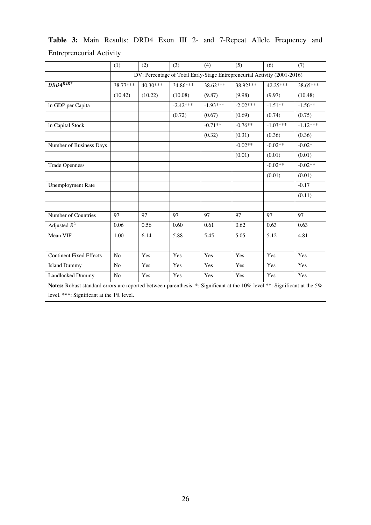|                                                                                                                                                                       | (1)            | (2)      | (3)        | (4)        | (5)        | (6)                                                                      | (7)        |
|-----------------------------------------------------------------------------------------------------------------------------------------------------------------------|----------------|----------|------------|------------|------------|--------------------------------------------------------------------------|------------|
|                                                                                                                                                                       |                |          |            |            |            | DV: Percentage of Total Early-Stage Entrepreneurial Activity (2001-2016) |            |
| $DRD4^{R2R7}$                                                                                                                                                         | 38.77***       | 40.30*** | 34.86***   | 38.62***   | 38.92***   | 42.25***                                                                 | 38.65***   |
|                                                                                                                                                                       | (10.42)        | (10.22)  | (10.08)    | (9.87)     | (9.98)     | (9.97)                                                                   | (10.48)    |
| In GDP per Capita                                                                                                                                                     |                |          | $-2.42***$ | $-1.93***$ | $-2.02***$ | $-1.51**$                                                                | $-1.56**$  |
|                                                                                                                                                                       |                |          | (0.72)     | (0.67)     | (0.69)     | (0.74)                                                                   | (0.75)     |
| In Capital Stock                                                                                                                                                      |                |          |            | $-0.71**$  | $-0.76**$  | $-1.03***$                                                               | $-1.12***$ |
|                                                                                                                                                                       |                |          |            | (0.32)     | (0.31)     | (0.36)                                                                   | (0.36)     |
| Number of Business Days                                                                                                                                               |                |          |            |            | $-0.02**$  | $-0.02**$                                                                | $-0.02*$   |
|                                                                                                                                                                       |                |          |            |            | (0.01)     | (0.01)                                                                   | (0.01)     |
| <b>Trade Openness</b>                                                                                                                                                 |                |          |            |            |            | $-0.02**$                                                                | $-0.02**$  |
|                                                                                                                                                                       |                |          |            |            |            | (0.01)                                                                   | (0.01)     |
| <b>Unemployment Rate</b>                                                                                                                                              |                |          |            |            |            |                                                                          | $-0.17$    |
|                                                                                                                                                                       |                |          |            |            |            |                                                                          | (0.11)     |
|                                                                                                                                                                       |                |          |            |            |            |                                                                          |            |
| Number of Countries                                                                                                                                                   | 97             | 97       | 97         | 97         | 97         | 97                                                                       | 97         |
| Adjusted $R^2$                                                                                                                                                        | 0.06           | 0.56     | 0.60       | 0.61       | 0.62       | 0.63                                                                     | 0.63       |
| Mean VIF                                                                                                                                                              | 1.00           | 6.14     | 5.88       | 5.45       | 5.05       | 5.12                                                                     | 4.81       |
|                                                                                                                                                                       |                |          |            |            |            |                                                                          |            |
| <b>Continent Fixed Effects</b>                                                                                                                                        | No             | Yes      | Yes        | Yes        | Yes        | Yes                                                                      | Yes        |
| <b>Island Dummy</b>                                                                                                                                                   | No             | Yes      | Yes        | Yes        | Yes        | Yes                                                                      | Yes        |
| Landlocked Dummy                                                                                                                                                      | N <sub>o</sub> | Yes      | Yes        | Yes        | Yes        | Yes                                                                      | Yes        |
| Notes: Robust standard errors are reported between parenthesis. *: Significant at the 10% level **: Significant at the 5%<br>level. ***: Significant at the 1% level. |                |          |            |            |            |                                                                          |            |

**Table 3:** Main Results: DRD4 Exon III 2- and 7-Repeat Allele Frequency and Entrepreneurial Activity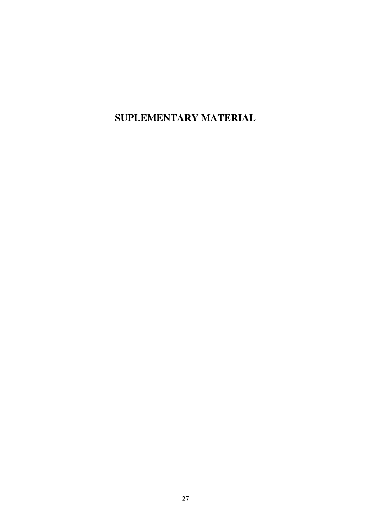**SUPLEMENTARY MATERIAL**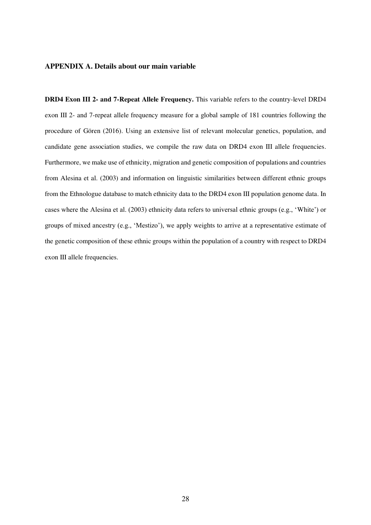#### **APPENDIX A. Details about our main variable**

**DRD4 Exon III 2- and 7-Repeat Allele Frequency.** This variable refers to the country-level DRD4 exon III 2- and 7-repeat allele frequency measure for a global sample of 181 countries following the procedure of Gören (2016). Using an extensive list of relevant molecular genetics, population, and candidate gene association studies, we compile the raw data on DRD4 exon III allele frequencies. Furthermore, we make use of ethnicity, migration and genetic composition of populations and countries from Alesina et al. (2003) and information on linguistic similarities between different ethnic groups from the Ethnologue database to match ethnicity data to the DRD4 exon III population genome data. In cases where the Alesina et al. (2003) ethnicity data refers to universal ethnic groups (e.g., 'White') or groups of mixed ancestry (e.g., 'Mestizo'), we apply weights to arrive at a representative estimate of the genetic composition of these ethnic groups within the population of a country with respect to DRD4 exon III allele frequencies.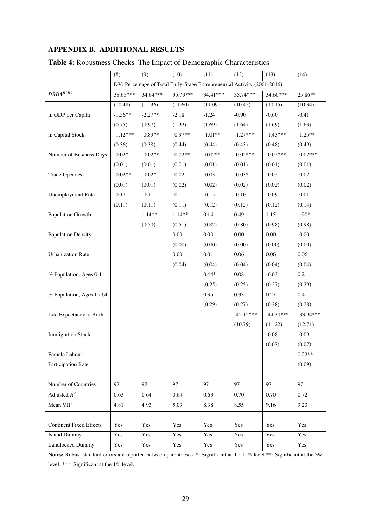## **APPENDIX B. ADDITIONAL RESULTS**

|                                                                                                                           | (8)        | (9)        | (10)       | (11)      | (12)                                                                     | (13)        | (14)        |
|---------------------------------------------------------------------------------------------------------------------------|------------|------------|------------|-----------|--------------------------------------------------------------------------|-------------|-------------|
|                                                                                                                           |            |            |            |           | DV: Percentage of Total Early-Stage Entrepreneurial Activity (2001-2016) |             |             |
| $DRD4^{R2R7}$                                                                                                             | 38.65***   | $34.64***$ | $35.79***$ | 34.41***  | 35.74***                                                                 | 34.60***    | 25.86**     |
|                                                                                                                           | (10.48)    | (11.36)    | (11.60)    | (11.09)   | (10.45)                                                                  | (10.15)     | (10.34)     |
| In GDP per Capita                                                                                                         | $-1.56**$  | $-2.27**$  | $-2.18$    | $-1.24$   | $-0.90$                                                                  | $-0.60$     | $-0.41$     |
|                                                                                                                           | (0.75)     | (0.97)     | (1.32)     | (1.69)    | (1.64)                                                                   | (1.69)      | (1.63)      |
| In Capital Stock                                                                                                          | $-1.12***$ | $-0.89**$  | $-0.97**$  | $-1.01**$ | $-1.27***$                                                               | $-1.43***$  | $-1.25**$   |
|                                                                                                                           | (0.36)     | (0.38)     | (0.44)     | (0.44)    | (0.43)                                                                   | (0.48)      | (0.49)      |
| Number of Business Days                                                                                                   | $-0.02*$   | $-0.02**$  | $-0.02**$  | $-0.02**$ | $-0.02***$                                                               | $-0.02***$  | $-0.02***$  |
|                                                                                                                           | (0.01)     | (0.01)     | (0.01)     | (0.01)    | (0.01)                                                                   | (0.01)      | (0.01)      |
| <b>Trade Openness</b>                                                                                                     | $-0.02**$  | $-0.02*$   | $-0.02$    | $-0.03$   | $-0.03*$                                                                 | $-0.02$     | $-0.02$     |
|                                                                                                                           | (0.01)     | (0.01)     | (0.02)     | (0.02)    | (0.02)                                                                   | (0.02)      | (0.02)      |
| <b>Unemployment Rate</b>                                                                                                  | $-0.17$    | $-0.11$    | $-0.11$    | $-0.15$   | $-0.10$                                                                  | $-0.09$     | $-0.01$     |
|                                                                                                                           | (0.11)     | (0.11)     | (0.11)     | (0.12)    | (0.12)                                                                   | (0.12)      | (0.14)      |
| Population Growth                                                                                                         |            | $1.14**$   | $1.14**$   | 0.14      | 0.49                                                                     | 1.15        | $1.90*$     |
|                                                                                                                           |            | (0.50)     | (0.51)     | (0.82)    | (0.80)                                                                   | (0.98)      | (0.98)      |
| <b>Population Density</b>                                                                                                 |            |            | 0.00       | 0.00      | 0.00                                                                     | 0.00        | $-0.00$     |
|                                                                                                                           |            |            | (0.00)     | (0.00)    | (0.00)                                                                   | (0.00)      | (0.00)      |
| <b>Urbanization Rate</b>                                                                                                  |            |            | 0.00       | $0.01\,$  | 0.06                                                                     | 0.06        | 0.06        |
|                                                                                                                           |            |            | (0.04)     | (0.04)    | (0.04)                                                                   | (0.04)      | (0.04)      |
| % Population, Ages 0-14                                                                                                   |            |            |            | $0.44*$   | 0.08                                                                     | $-0.03$     | 0.21        |
|                                                                                                                           |            |            |            | (0.25)    | (0.25)                                                                   | (0.27)      | (0.29)      |
| % Population, Ages 15-64                                                                                                  |            |            |            | 0.35      | 0.33                                                                     | 0.27        | 0.41        |
|                                                                                                                           |            |            |            | (0.29)    | (0.27)                                                                   | (0.28)      | (0.28)      |
| Life Expectancy at Birth                                                                                                  |            |            |            |           | $-42.12***$                                                              | $-44.30***$ | $-33.94***$ |
|                                                                                                                           |            |            |            |           | (10.79)                                                                  | (11.22)     | (12.71)     |
| <b>Immigration Stock</b>                                                                                                  |            |            |            |           |                                                                          | $-0.08$     | $-0.09$     |
|                                                                                                                           |            |            |            |           |                                                                          | (0.07)      | (0.07)      |
| Female Labour                                                                                                             |            |            |            |           |                                                                          |             | $0.22**$    |
| Participation Rate                                                                                                        |            |            |            |           |                                                                          |             | (0.09)      |
|                                                                                                                           |            |            |            |           |                                                                          |             |             |
| Number of Countries                                                                                                       | 97         | 97         | 97         | 97        | 97                                                                       | 97          | 97          |
| Adjusted $R^2$                                                                                                            | 0.63       | 0.64       | 0.64       | 0.63      | 0.70                                                                     | 0.70        | 0.72        |
| Mean VIF                                                                                                                  | 4.81       | 4.93       | 5.03       | 8.38      | 8.55                                                                     | 9.16        | 9.23        |
|                                                                                                                           |            |            |            |           |                                                                          |             |             |
| <b>Continent Fixed Effects</b>                                                                                            | Yes        | Yes        | Yes        | Yes       | Yes                                                                      | Yes         | Yes         |
| <b>Island Dummy</b>                                                                                                       | Yes        | Yes        | Yes        | Yes       | Yes                                                                      | Yes         | Yes         |
| <b>Landlocked Dummy</b>                                                                                                   | Yes        | Yes        | Yes        | Yes       | Yes                                                                      | Yes         | Yes         |
| Notes: Robust standard errors are reported between parentheses. *: Significant at the 10% level **: Significant at the 5% |            |            |            |           |                                                                          |             |             |
| level. ***: Significant at the 1% level.                                                                                  |            |            |            |           |                                                                          |             |             |

# **Table 4:** Robustness Checks–The Impact of Demographic Characteristics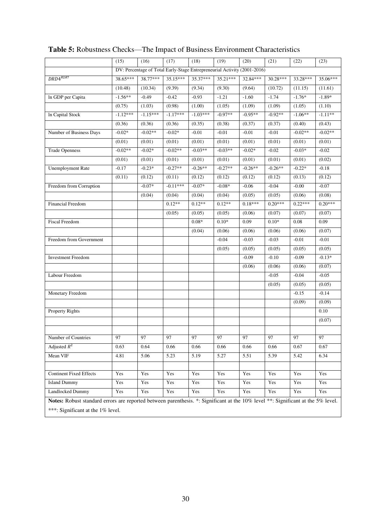|                                                                                                                                  | (15)       | (16)       | (17)                                                                     | (18)       | (19)       | (20)      | (21)       | (22)            | (23)       |
|----------------------------------------------------------------------------------------------------------------------------------|------------|------------|--------------------------------------------------------------------------|------------|------------|-----------|------------|-----------------|------------|
|                                                                                                                                  |            |            | DV: Percentage of Total Early-Stage Entrepreneurial Activity (2001-2016) |            |            |           |            |                 |            |
| $DRD4^{R2R7}$                                                                                                                    | 38.65***   | 38.77***   | 35.15***                                                                 | 35.37***   | $35.21***$ | 32.84***  | $30.28***$ | 33.28***        | 35.06***   |
|                                                                                                                                  | (10.48)    | (10.34)    | (9.39)                                                                   | (9.34)     | (9.30)     | (9.64)    | (10.72)    | (11.15)         | (11.61)    |
| In GDP per Capita                                                                                                                | $-1.56**$  | $-0.49$    | $-0.42$                                                                  | $-0.93$    | $-1.21$    | $-1.60$   | $-1.74$    | $-1.76*$        | $-1.89*$   |
|                                                                                                                                  | (0.75)     | (1.03)     | (0.98)                                                                   | (1.00)     | (1.05)     | (1.09)    | (1.09)     | (1.05)          | (1.10)     |
| In Capital Stock                                                                                                                 | $-1.12***$ | $-1.15***$ | $-1.17***$                                                               | $-1.03***$ | $-0.97**$  | $-0.95**$ | $-0.92**$  | $-1.06**$       | $-1.11***$ |
|                                                                                                                                  | (0.36)     | (0.36)     | (0.36)                                                                   | (0.35)     | (0.38)     | (0.37)    | (0.37)     | (0.40)          | (0.43)     |
| Number of Business Days                                                                                                          | $-0.02*$   | $-0.02**$  | $-0.02*$                                                                 | $-0.01$    | $-0.01$    | $-0.01$   | $-0.01$    | $-0.02**$       | $-0.02**$  |
|                                                                                                                                  | (0.01)     | (0.01)     | (0.01)                                                                   | (0.01)     | (0.01)     | (0.01)    | (0.01)     | (0.01)          | (0.01)     |
| <b>Trade Openness</b>                                                                                                            | $-0.02**$  | $-0.02*$   | $-0.02**$                                                                | $-0.03**$  | $-0.03**$  | $-0.02*$  | $-0.02$    | $-0.03*$        | $-0.02$    |
|                                                                                                                                  | (0.01)     | (0.01)     | (0.01)                                                                   | (0.01)     | (0.01)     | (0.01)    | (0.01)     | (0.01)          | (0.02)     |
| <b>Unemployment Rate</b>                                                                                                         | $-0.17$    | $-0.23*$   | $-0.27**$                                                                | $-0.26**$  | $-0.27**$  | $-0.26**$ | $-0.26**$  | $-0.22*$        | $-0.18$    |
|                                                                                                                                  | (0.11)     | (0.12)     | (0.11)                                                                   | (0.12)     | (0.12)     | (0.12)    | (0.12)     | (0.13)          | (0.12)     |
| Freedom from Corruption                                                                                                          |            | $-0.07*$   | $-0.11***$                                                               | $-0.07*$   | $-0.08*$   | $-0.06$   | $-0.04$    | $-0.00$         | $-0.07$    |
|                                                                                                                                  |            | (0.04)     | (0.04)                                                                   | (0.04)     | (0.04)     | (0.05)    | (0.05)     | (0.06)          | (0.08)     |
| Financial Freedom                                                                                                                |            |            | $0.12**$                                                                 | $0.12**$   | $0.12**$   | $0.18***$ | $0.20***$  | $0.22***$       | $0.20***$  |
|                                                                                                                                  |            |            | (0.05)                                                                   | (0.05)     | (0.05)     | (0.06)    | (0.07)     | (0.07)          | (0.07)     |
| <b>Fiscal Freedom</b>                                                                                                            |            |            |                                                                          | $0.08*$    | $0.10*$    | 0.09      | $0.10*$    | 0.08            | 0.09       |
|                                                                                                                                  |            |            |                                                                          | (0.04)     | (0.06)     | (0.06)    | (0.06)     | (0.06)          | (0.07)     |
| Freedom from Government                                                                                                          |            |            |                                                                          |            | $-0.04$    | $-0.03$   | $-0.03$    | $-0.01$         | $-0.01$    |
|                                                                                                                                  |            |            |                                                                          |            | (0.05)     | (0.05)    | (0.05)     | (0.05)          | (0.05)     |
| <b>Investment Freedom</b>                                                                                                        |            |            |                                                                          |            |            | $-0.09$   | $-0.10$    | $-0.09$         | $-0.13*$   |
|                                                                                                                                  |            |            |                                                                          |            |            | (0.06)    | (0.06)     | (0.06)          | (0.07)     |
| Labour Freedom                                                                                                                   |            |            |                                                                          |            |            |           | $-0.05$    | $-0.04$         | $-0.05$    |
|                                                                                                                                  |            |            |                                                                          |            |            |           | (0.05)     | (0.05)          | (0.05)     |
| Monetary Freedom                                                                                                                 |            |            |                                                                          |            |            |           |            | $-0.15$         | $-0.14$    |
|                                                                                                                                  |            |            |                                                                          |            |            |           |            | (0.09)          | (0.09)     |
| Property Rights                                                                                                                  |            |            |                                                                          |            |            |           |            |                 | 0.10       |
|                                                                                                                                  |            |            |                                                                          |            |            |           |            |                 | (0.07)     |
|                                                                                                                                  |            |            |                                                                          |            |            |           |            |                 |            |
| Number of Countries                                                                                                              | 97         | 97         | 97                                                                       | 97         | 97         | 97        | 97         | $\overline{97}$ | 97         |
| Adjusted $R^2$                                                                                                                   | 0.63       | 0.64       | 0.66                                                                     | 0.66       | 0.66       | 0.66      | 0.66       | 0.67            | 0.67       |
| Mean VIF                                                                                                                         | 4.81       | 5.06       | 5.23                                                                     | 5.19       | 5.27       | 5.51      | 5.39       | 5.42            | 6.34       |
|                                                                                                                                  |            |            |                                                                          |            |            |           |            |                 |            |
| <b>Continent Fixed Effects</b>                                                                                                   | Yes        | Yes        | Yes                                                                      | Yes        | Yes        | Yes       | Yes        | Yes             | Yes        |
| <b>Island Dummy</b>                                                                                                              | Yes        | Yes        | Yes                                                                      | Yes        | Yes        | Yes       | Yes        | Yes             | Yes        |
| <b>Landlocked Dummy</b>                                                                                                          | Yes        | Yes        | Yes                                                                      | Yes        | Yes        | Yes       | Yes        | Yes             | Yes        |
| Notes: Robust standard errors are reported between parenthesis. *: Significant at the 10% level **: Significant at the 5% level. |            |            |                                                                          |            |            |           |            |                 |            |
| ***: Significant at the 1% level.                                                                                                |            |            |                                                                          |            |            |           |            |                 |            |

# **Table 5:** Robustness Checks—The Impact of Business Environment Characteristics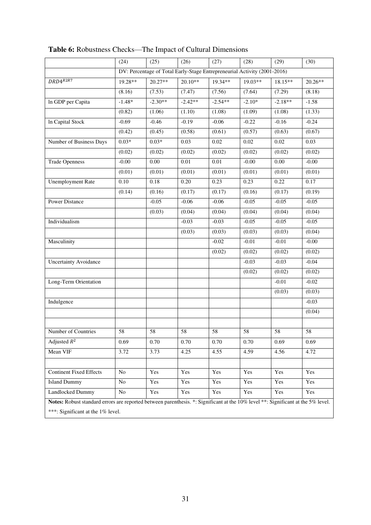|                                                                                                                                  | (24)      | (25)      | (26)                                                                     | (27)      | (28)     | (29)      | (30)      |
|----------------------------------------------------------------------------------------------------------------------------------|-----------|-----------|--------------------------------------------------------------------------|-----------|----------|-----------|-----------|
|                                                                                                                                  |           |           | DV: Percentage of Total Early-Stage Entrepreneurial Activity (2001-2016) |           |          |           |           |
| $DRD4^{R2R7}$                                                                                                                    | $19.28**$ | $20.27**$ | $20.10**$                                                                | 19.34**   | 19.03**  | 18.15**   | $20.26**$ |
|                                                                                                                                  | (8.16)    | (7.53)    | (7.47)                                                                   | (7.56)    | (7.64)   | (7.29)    | (8.18)    |
| In GDP per Capita                                                                                                                | $-1.48*$  | $-2.30**$ | $-2.42**$                                                                | $-2.54**$ | $-2.10*$ | $-2.18**$ | $-1.58$   |
|                                                                                                                                  | (0.82)    | (1.06)    | (1.10)                                                                   | (1.08)    | (1.09)   | (1.08)    | (1.33)    |
| In Capital Stock                                                                                                                 | $-0.69$   | $-0.46$   | $-0.19$                                                                  | $-0.06$   | $-0.22$  | $-0.16$   | $-0.24$   |
|                                                                                                                                  | (0.42)    | (0.45)    | (0.58)                                                                   | (0.61)    | (0.57)   | (0.63)    | (0.67)    |
| Number of Business Days                                                                                                          | $0.03*$   | $0.03*$   | 0.03                                                                     | 0.02      | 0.02     | 0.02      | 0.03      |
|                                                                                                                                  | (0.02)    | (0.02)    | (0.02)                                                                   | (0.02)    | (0.02)   | (0.02)    | (0.02)    |
| <b>Trade Openness</b>                                                                                                            | $-0.00$   | 0.00      | 0.01                                                                     | 0.01      | $-0.00$  | 0.00      | $-0.00$   |
|                                                                                                                                  | (0.01)    | (0.01)    | (0.01)                                                                   | (0.01)    | (0.01)   | (0.01)    | (0.01)    |
| <b>Unemployment Rate</b>                                                                                                         | 0.10      | 0.18      | 0.20                                                                     | 0.23      | 0.23     | 0.22      | 0.17      |
|                                                                                                                                  | (0.14)    | (0.16)    | (0.17)                                                                   | (0.17)    | (0.16)   | (0.17)    | (0.19)    |
| <b>Power Distance</b>                                                                                                            |           | $-0.05$   | $-0.06$                                                                  | $-0.06$   | $-0.05$  | $-0.05$   | $-0.05$   |
|                                                                                                                                  |           | (0.03)    | (0.04)                                                                   | (0.04)    | (0.04)   | (0.04)    | (0.04)    |
| Individualism                                                                                                                    |           |           | $-0.03$                                                                  | $-0.03$   | $-0.05$  | $-0.05$   | $-0.05$   |
|                                                                                                                                  |           |           | (0.03)                                                                   | (0.03)    | (0.03)   | (0.03)    | (0.04)    |
| Masculinity                                                                                                                      |           |           |                                                                          | $-0.02$   | $-0.01$  | $-0.01$   | $-0.00$   |
|                                                                                                                                  |           |           |                                                                          | (0.02)    | (0.02)   | (0.02)    | (0.02)    |
| <b>Uncertainty Avoidance</b>                                                                                                     |           |           |                                                                          |           | $-0.03$  | $-0.03$   | $-0.04$   |
|                                                                                                                                  |           |           |                                                                          |           | (0.02)   | (0.02)    | (0.02)    |
| Long-Term Orientation                                                                                                            |           |           |                                                                          |           |          | $-0.01$   | $-0.02$   |
|                                                                                                                                  |           |           |                                                                          |           |          | (0.03)    | (0.03)    |
| Indulgence                                                                                                                       |           |           |                                                                          |           |          |           | $-0.03$   |
|                                                                                                                                  |           |           |                                                                          |           |          |           | (0.04)    |
|                                                                                                                                  |           |           |                                                                          |           |          |           |           |
| Number of Countries                                                                                                              | 58        | 58        | 58                                                                       | 58        | 58       | 58        | 58        |
| Adjusted $R^2$                                                                                                                   | 0.69      | 0.70      | 0.70                                                                     | 0.70      | 0.70     | 0.69      | 0.69      |
| Mean VIF                                                                                                                         | 3.72      | 3.73      | 4.25                                                                     | 4.55      | 4.59     | 4.56      | 4.72      |
|                                                                                                                                  |           |           |                                                                          |           |          |           |           |
| <b>Continent Fixed Effects</b>                                                                                                   | No        | Yes       | Yes                                                                      | Yes       | Yes      | Yes       | Yes       |
| <b>Island Dummy</b>                                                                                                              | No        | Yes       | Yes                                                                      | Yes       | Yes      | Yes       | Yes       |
| Landlocked Dummy                                                                                                                 | No        | Yes       | Yes                                                                      | Yes       | Yes      | Yes       | Yes       |
| Notes: Robust standard errors are reported between parenthesis. *: Significant at the 10% level **: Significant at the 5% level. |           |           |                                                                          |           |          |           |           |
| ***: Significant at the 1% level.                                                                                                |           |           |                                                                          |           |          |           |           |

**Table 6:** Robustness Checks—The Impact of Cultural Dimensions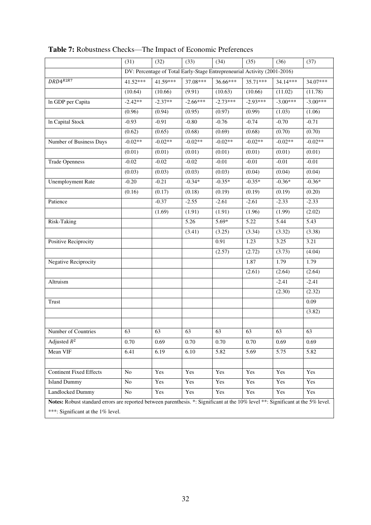|                                                                                                                                  | (31)       | (32)      | (33)                                                                     | (34)       | (35)       | (36)       | (37)       |
|----------------------------------------------------------------------------------------------------------------------------------|------------|-----------|--------------------------------------------------------------------------|------------|------------|------------|------------|
|                                                                                                                                  |            |           | DV: Percentage of Total Early-Stage Entrepreneurial Activity (2001-2016) |            |            |            |            |
| $DRD4^{R2R7}$                                                                                                                    | $41.52***$ | 41.59***  | 37.08***                                                                 | 36.66***   | 35.71***   | 34.14***   | 34.07***   |
|                                                                                                                                  | (10.64)    | (10.66)   | (9.91)                                                                   | (10.63)    | (10.66)    | (11.02)    | (11.78)    |
| In GDP per Capita                                                                                                                | $-2.42**$  | $-2.37**$ | $-2.66***$                                                               | $-2.73***$ | $-2.93***$ | $-3.00***$ | $-3.00***$ |
|                                                                                                                                  | (0.96)     | (0.94)    | (0.95)                                                                   | (0.97)     | (0.99)     | (1.03)     | (1.06)     |
| In Capital Stock                                                                                                                 | $-0.93$    | $-0.91$   | $-0.80$                                                                  | $-0.76$    | $-0.74$    | $-0.70$    | $-0.71$    |
|                                                                                                                                  | (0.62)     | (0.65)    | (0.68)                                                                   | (0.69)     | (0.68)     | (0.70)     | (0.70)     |
| Number of Business Days                                                                                                          | $-0.02**$  | $-0.02**$ | $-0.02**$                                                                | $-0.02**$  | $-0.02**$  | $-0.02**$  | $-0.02**$  |
|                                                                                                                                  | (0.01)     | (0.01)    | (0.01)                                                                   | (0.01)     | (0.01)     | (0.01)     | (0.01)     |
| <b>Trade Openness</b>                                                                                                            | $-0.02$    | $-0.02$   | $-0.02$                                                                  | $-0.01$    | $-0.01$    | $-0.01$    | $-0.01$    |
|                                                                                                                                  | (0.03)     | (0.03)    | (0.03)                                                                   | (0.03)     | (0.04)     | (0.04)     | (0.04)     |
| <b>Unemployment Rate</b>                                                                                                         | $-0.20$    | $-0.21$   | $-0.34*$                                                                 | $-0.35*$   | $-0.35*$   | $-0.36*$   | $-0.36*$   |
|                                                                                                                                  | (0.16)     | (0.17)    | (0.18)                                                                   | (0.19)     | (0.19)     | (0.19)     | (0.20)     |
| Patience                                                                                                                         |            | $-0.37$   | $-2.55$                                                                  | $-2.61$    | $-2.61$    | $-2.33$    | $-2.33$    |
|                                                                                                                                  |            | (1.69)    | (1.91)                                                                   | (1.91)     | (1.96)     | (1.99)     | (2.02)     |
| Risk-Taking                                                                                                                      |            |           | 5.26                                                                     | $5.69*$    | 5.22       | 5.44       | 5.43       |
|                                                                                                                                  |            |           | (3.41)                                                                   | (3.25)     | (3.34)     | (3.32)     | (3.38)     |
| Positive Reciprocity                                                                                                             |            |           |                                                                          | 0.91       | 1.23       | 3.25       | 3.21       |
|                                                                                                                                  |            |           |                                                                          | (2.57)     | (2.72)     | (3.73)     | (4.04)     |
| Negative Reciprocity                                                                                                             |            |           |                                                                          |            | 1.87       | 1.79       | 1.79       |
|                                                                                                                                  |            |           |                                                                          |            | (2.61)     | (2.64)     | (2.64)     |
| Altruism                                                                                                                         |            |           |                                                                          |            |            | $-2.41$    | $-2.41$    |
|                                                                                                                                  |            |           |                                                                          |            |            | (2.30)     | (2.32)     |
| Trust                                                                                                                            |            |           |                                                                          |            |            |            | 0.09       |
|                                                                                                                                  |            |           |                                                                          |            |            |            | (3.82)     |
|                                                                                                                                  |            |           |                                                                          |            |            |            |            |
| Number of Countries                                                                                                              | 63         | 63        | 63                                                                       | 63         | 63         | 63         | 63         |
| Adjusted $R^2$                                                                                                                   | 0.70       | 0.69      | 0.70                                                                     | 0.70       | 0.70       | 0.69       | 0.69       |
| Mean VIF                                                                                                                         | 6.41       | 6.19      | 6.10                                                                     | 5.82       | 5.69       | 5.75       | 5.82       |
|                                                                                                                                  |            |           |                                                                          |            |            |            |            |
| <b>Continent Fixed Effects</b>                                                                                                   | No         | Yes       | Yes                                                                      | Yes        | Yes        | Yes        | Yes        |
| <b>Island Dummy</b>                                                                                                              | $\rm No$   | Yes       | Yes                                                                      | Yes        | Yes        | Yes        | Yes        |
| Landlocked Dummy                                                                                                                 | $\rm No$   | Yes       | Yes                                                                      | Yes        | Yes        | Yes        | Yes        |
| Notes: Robust standard errors are reported between parenthesis. *: Significant at the 10% level **: Significant at the 5% level. |            |           |                                                                          |            |            |            |            |
| ***: Significant at the 1% level.                                                                                                |            |           |                                                                          |            |            |            |            |

**Table 7:** Robustness Checks—The Impact of Economic Preferences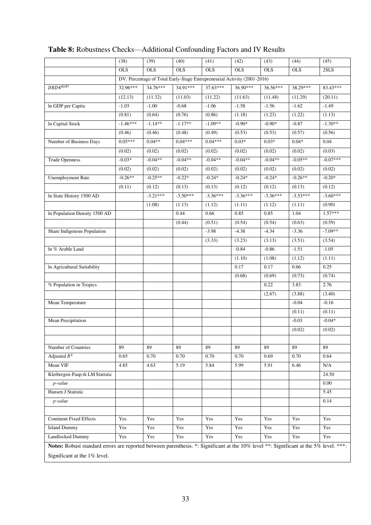|                                                                                                                                       | (38)       | (39)       | (40)                                                                     | (41)       | (42)       | (43)       | (44)       | (45)       |
|---------------------------------------------------------------------------------------------------------------------------------------|------------|------------|--------------------------------------------------------------------------|------------|------------|------------|------------|------------|
|                                                                                                                                       | <b>OLS</b> | <b>OLS</b> | <b>OLS</b>                                                               | <b>OLS</b> | <b>OLS</b> | <b>OLS</b> | <b>OLS</b> | 2SLS       |
|                                                                                                                                       |            |            | DV: Percentage of Total Early-Stage Entrepreneurial Activity (2001-2016) |            |            |            |            |            |
| $DRD4^{R2R7}$                                                                                                                         | 32.96***   | 34.76***   | 34.91***                                                                 | 37.63***   | 36.90***   | 36.56***   | 38.29***   | 83.43***   |
|                                                                                                                                       | (12.13)    | (11.32)    | (11.03)                                                                  | (11.22)    | (11.63)    | (11.48)    | (11.29)    | (20.11)    |
| In GDP per Capita                                                                                                                     | $-1.03$    | $-1.00$    | $-0.68$                                                                  | $-1.06$    | $-1.58$    | $-1.56$    | $-1.62$    | $-1.49$    |
|                                                                                                                                       | (0.81)     | (0.64)     | (0.76)                                                                   | (0.86)     | (1.18)     | (1.23)     | (1.22)     | (1.13)     |
| In Capital Stock                                                                                                                      | $-1.46***$ | $-1.14**$  | $-1.17**$                                                                | $-1.09**$  | $-0.90*$   | $-0.90*$   | $-0.87$    | $-1.30**$  |
|                                                                                                                                       | (0.46)     | (0.46)     | (0.48)                                                                   | (0.49)     | (0.53)     | (0.53)     | (0.57)     | (0.56)     |
| Number of Business Days                                                                                                               | $0.05***$  | $0.04**$   | $0.04***$                                                                | $0.04***$  | $0.03*$    | $0.03*$    | $0.04*$    | 0.04       |
|                                                                                                                                       | (0.02)     | (0.02)     | (0.02)                                                                   | (0.02)     | (0.02)     | (0.02)     | (0.02)     | (0.03)     |
| <b>Trade Openness</b>                                                                                                                 | $-0.03*$   | $-0.04**$  | $-0.04**$                                                                | $-0.04**$  | $-0.04**$  | $-0.04**$  | $-0.05**$  | $-0.07***$ |
|                                                                                                                                       | (0.02)     | (0.02)     | (0.02)                                                                   | (0.02)     | (0.02)     | (0.02)     | (0.02)     | (0.02)     |
| <b>Unemployment Rate</b>                                                                                                              | $-0.26**$  | $-0.25**$  | $-0.22*$                                                                 | $-0.24*$   | $-0.24*$   | $-0.24*$   | $-0.26**$  | $-0.20*$   |
|                                                                                                                                       | (0.11)     | (0.12)     | (0.13)                                                                   | (0.13)     | (0.12)     | (0.12)     | (0.13)     | (0.12)     |
| In State History 1500 AD                                                                                                              |            | $-3.21***$ | $-3.50***$                                                               | $-3.36***$ | $-3.36***$ | $-3.36***$ | $-3.53***$ | $-3.60***$ |
|                                                                                                                                       |            | (1.08)     | (1.13)                                                                   | (1.12)     | (1.11)     | (1.12)     | (1.11)     | (0.90)     |
| In Population Density 1500 AD                                                                                                         |            |            | 0.44                                                                     | 0.66       | 0.85       | 0.85       | 1.04       | $1.57***$  |
|                                                                                                                                       |            |            | (0.44)                                                                   | (0.51)     | (0.54)     | (0.54)     | (0.63)     | (0.59)     |
| Share Indigenous Population                                                                                                           |            |            |                                                                          | $-3.98$    | $-4.38$    | $-4.34$    | $-3.36$    | $-7.09**$  |
|                                                                                                                                       |            |            |                                                                          | (3.33)     | (3.23)     | (3.13)     | (3.51)     | (3.54)     |
| In % Arable Land                                                                                                                      |            |            |                                                                          |            | $-0.84$    | $-0.86$    | $-1.51$    | $-1.05$    |
|                                                                                                                                       |            |            |                                                                          |            | (1.10)     | (1.08)     | (1.12)     | (1.11)     |
| In Agricultural Suitability                                                                                                           |            |            |                                                                          |            | 0.17       | 0.17       | 0.66       | 0.25       |
|                                                                                                                                       |            |            |                                                                          |            | (0.68)     | (0.69)     | (0.73)     | (0.74)     |
| % Population in Tropics                                                                                                               |            |            |                                                                          |            |            | 0.22       | 3.83       | 2.76       |
|                                                                                                                                       |            |            |                                                                          |            |            | (2.67)     | (3.88)     | (3.40)     |
| Mean Temperature                                                                                                                      |            |            |                                                                          |            |            |            | $-0.04$    | $-0.16$    |
|                                                                                                                                       |            |            |                                                                          |            |            |            | (0.11)     | (0.11)     |
| Mean Precipitation                                                                                                                    |            |            |                                                                          |            |            |            | $-0.03$    | $-0.04*$   |
|                                                                                                                                       |            |            |                                                                          |            |            |            | (0.02)     | (0.02)     |
|                                                                                                                                       |            |            |                                                                          |            |            |            |            |            |
| Number of Countries                                                                                                                   | 89         | 89         | 89                                                                       | 89         | 89         | 89         | 89         | 89         |
| Adjusted $R^2$                                                                                                                        | 0.65       | 0.70       | 0.70                                                                     | 0.70       | 0.70       | 0.69       | 0.70       | 0.64       |
| Mean VIF                                                                                                                              | 4.85       | 4.63       | 5.19                                                                     | 5.84       | 5.99       | 5.91       | 6.46       | N/A        |
| Kleibergen-Paap rk LM Statistic                                                                                                       |            |            |                                                                          |            |            |            |            | 24.50      |
| p-value                                                                                                                               |            |            |                                                                          |            |            |            |            | 0.00       |
| Hansen J Statistic                                                                                                                    |            |            |                                                                          |            |            |            |            | 5.45       |
| p-value                                                                                                                               |            |            |                                                                          |            |            |            |            | 0.14       |
| <b>Continent Fixed Effects</b>                                                                                                        | Yes        | Yes        | Yes                                                                      | Yes        | Yes        | Yes        | Yes        | Yes        |
| <b>Island Dummy</b>                                                                                                                   | Yes        | Yes        | Yes                                                                      | Yes        | Yes        | Yes        | Yes        | Yes        |
| Landlocked Dummy                                                                                                                      | Yes        | Yes        | Yes                                                                      | Yes        | Yes        | Yes        | Yes        | Yes        |
| Notes: Robust standard errors are reported between parenthesis. *: Significant at the 10% level **: Significant at the 5% level. ***: |            |            |                                                                          |            |            |            |            |            |

# **Table 8:** Robustness Checks—Additional Confounding Factors and IV Results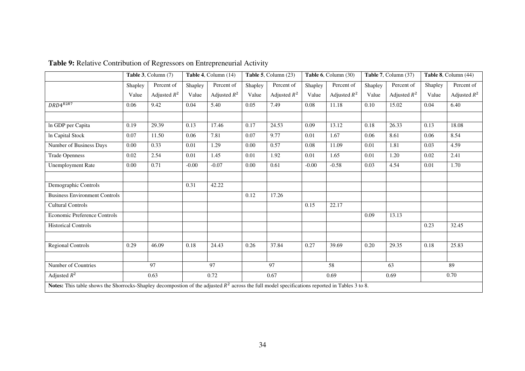|                                                                                                                                                  |         | Table 3, Column (7) |         | Table 4, Column (14) | Table 5, Column (23) |                | Table 6, Column (30) |                | Table 7, Column (37) |                | Table 8, Column (44) |                |
|--------------------------------------------------------------------------------------------------------------------------------------------------|---------|---------------------|---------|----------------------|----------------------|----------------|----------------------|----------------|----------------------|----------------|----------------------|----------------|
|                                                                                                                                                  | Shapley | Percent of          | Shapley | Percent of           | Shapley              | Percent of     | Shapley              | Percent of     | Shapley              | Percent of     | Shapley              | Percent of     |
|                                                                                                                                                  | Value   | Adjusted $R^2$      | Value   | Adjusted $R^2$       | Value                | Adjusted $R^2$ | Value                | Adjusted $R^2$ | Value                | Adjusted $R^2$ | Value                | Adjusted $R^2$ |
| $DRD4^{R2R7}$                                                                                                                                    | 0.06    | 9.42                | 0.04    | 5.40                 | 0.05                 | 7.49           | 0.08                 | 11.18          | 0.10                 | 15.02          | 0.04                 | 6.40           |
|                                                                                                                                                  |         |                     |         |                      |                      |                |                      |                |                      |                |                      |                |
| In GDP per Capita                                                                                                                                | 0.19    | 29.39               | 0.13    | 17.46                | 0.17                 | 24.53          | 0.09                 | 13.12          | 0.18                 | 26.33          | 0.13                 | 18.08          |
| In Capital Stock                                                                                                                                 | 0.07    | 11.50               | 0.06    | 7.81                 | 0.07                 | 9.77           | 0.01                 | 1.67           | 0.06                 | 8.61           | 0.06                 | 8.54           |
| Number of Business Days                                                                                                                          | 0.00    | 0.33                | 0.01    | 1.29                 | 0.00                 | 0.57           | 0.08                 | 11.09          | 0.01                 | 1.81           | 0.03                 | 4.59           |
| <b>Trade Openness</b>                                                                                                                            | 0.02    | 2.54                | 0.01    | 1.45                 | 0.01                 | 1.92           | 0.01                 | 1.65           | 0.01                 | 1.20           | 0.02                 | 2.41           |
| <b>Unemployment Rate</b>                                                                                                                         | 0.00    | 0.71                | $-0.00$ | $-0.07$              | 0.00                 | 0.61           | $-0.00$              | $-0.58$        | 0.03                 | 4.54           | 0.01                 | 1.70           |
|                                                                                                                                                  |         |                     |         |                      |                      |                |                      |                |                      |                |                      |                |
| Demographic Controls                                                                                                                             |         |                     | 0.31    | 42.22                |                      |                |                      |                |                      |                |                      |                |
| <b>Business Environment Controls</b>                                                                                                             |         |                     |         |                      | 0.12                 | 17.26          |                      |                |                      |                |                      |                |
| <b>Cultural Controls</b>                                                                                                                         |         |                     |         |                      |                      |                | 0.15                 | 22.17          |                      |                |                      |                |
| <b>Economic Preference Controls</b>                                                                                                              |         |                     |         |                      |                      |                |                      |                | 0.09                 | 13.13          |                      |                |
| <b>Historical Controls</b>                                                                                                                       |         |                     |         |                      |                      |                |                      |                |                      |                | 0.23                 | 32.45          |
|                                                                                                                                                  |         |                     |         |                      |                      |                |                      |                |                      |                |                      |                |
| <b>Regional Controls</b>                                                                                                                         | 0.29    | 46.09               | 0.18    | 24.43                | 0.26                 | 37.84          | 0.27                 | 39.69          | 0.20                 | 29.35          | 0.18                 | 25.83          |
|                                                                                                                                                  |         |                     |         |                      |                      |                |                      |                |                      |                |                      |                |
| Number of Countries                                                                                                                              |         | 97                  |         | 97                   |                      | 97             |                      | 58             |                      | 63             |                      | 89             |
| Adjusted $R^2$                                                                                                                                   |         | 0.63                |         | 0.72                 |                      | 0.67           |                      | 0.69           |                      | 0.69           |                      | 0.70           |
| Notes: This table shows the Shorrocks-Shapley decompostion of the adjusted $R^2$ across the full model specifications reported in Tables 3 to 8. |         |                     |         |                      |                      |                |                      |                |                      |                |                      |                |

**Table 9:** Relative Contribution of Regressors on Entrepreneurial Activity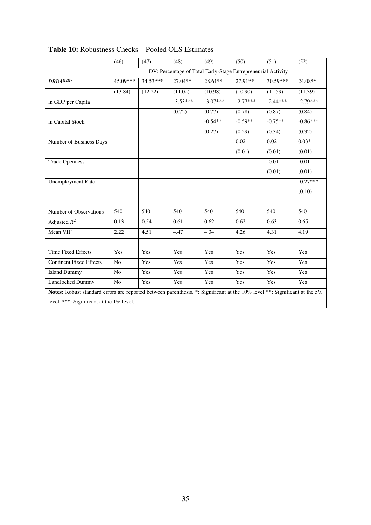|                                                                                                                           | (46)           | (47)     | (48)       | (49)       | (50)                                                         | (51)       | (52)       |
|---------------------------------------------------------------------------------------------------------------------------|----------------|----------|------------|------------|--------------------------------------------------------------|------------|------------|
|                                                                                                                           |                |          |            |            | DV: Percentage of Total Early-Stage Entrepreneurial Activity |            |            |
| $DRD4^{R2R7}$                                                                                                             | 45.09***       | 34.53*** | $27.04**$  | $28.61**$  | 27.91**                                                      | 30.59***   | 24.08**    |
|                                                                                                                           | (13.84)        | (12.22)  | (11.02)    | (10.98)    | (10.90)                                                      | (11.59)    | (11.39)    |
| In GDP per Capita                                                                                                         |                |          | $-3.53***$ | $-3.07***$ | $-2.77***$                                                   | $-2.44***$ | $-2.79***$ |
|                                                                                                                           |                |          | (0.72)     | (0.77)     | (0.78)                                                       | (0.87)     | (0.84)     |
| In Capital Stock                                                                                                          |                |          |            | $-0.54**$  | $-0.59**$                                                    | $-0.75**$  | $-0.86***$ |
|                                                                                                                           |                |          |            | (0.27)     | (0.29)                                                       | (0.34)     | (0.32)     |
| Number of Business Days                                                                                                   |                |          |            |            | 0.02                                                         | 0.02       | $0.03*$    |
|                                                                                                                           |                |          |            |            | (0.01)                                                       | (0.01)     | (0.01)     |
| <b>Trade Openness</b>                                                                                                     |                |          |            |            |                                                              | $-0.01$    | $-0.01$    |
|                                                                                                                           |                |          |            |            |                                                              | (0.01)     | (0.01)     |
| <b>Unemployment Rate</b>                                                                                                  |                |          |            |            |                                                              |            | $-0.27***$ |
|                                                                                                                           |                |          |            |            |                                                              |            | (0.10)     |
|                                                                                                                           |                |          |            |            |                                                              |            |            |
| Number of Observations                                                                                                    | 540            | 540      | 540        | 540        | $\overline{540}$                                             | 540        | 540        |
| Adjusted $R^2$                                                                                                            | 0.13           | 0.54     | 0.61       | 0.62       | 0.62                                                         | 0.63       | 0.65       |
| Mean VIF                                                                                                                  | 2.22           | 4.51     | 4.47       | 4.34       | 4.26                                                         | 4.31       | 4.19       |
|                                                                                                                           |                |          |            |            |                                                              |            |            |
| <b>Time Fixed Effects</b>                                                                                                 | Yes            | Yes      | Yes        | Yes        | Yes                                                          | Yes        | Yes        |
| <b>Continent Fixed Effects</b>                                                                                            | No             | Yes      | Yes        | Yes        | Yes                                                          | Yes        | Yes        |
| <b>Island Dummy</b>                                                                                                       | No             | Yes      | Yes        | Yes        | Yes                                                          | Yes        | Yes        |
| Landlocked Dummy                                                                                                          | N <sub>o</sub> | Yes      | Yes        | Yes        | Yes                                                          | Yes        | Yes        |
| Notes: Robust standard errors are reported between parenthesis. *: Significant at the 10% level **: Significant at the 5% |                |          |            |            |                                                              |            |            |
| level. ***: Significant at the 1% level.                                                                                  |                |          |            |            |                                                              |            |            |

## **Table 10:** Robustness Checks—Pooled OLS Estimates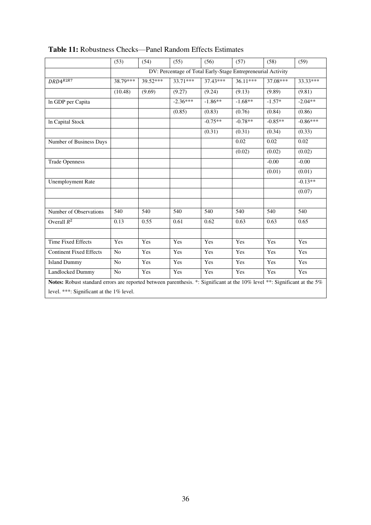|                                                                                                                                                                       | (53)             | (54)     | (55)                                                         | (56)       | (57)      | (58)      | (59)       |
|-----------------------------------------------------------------------------------------------------------------------------------------------------------------------|------------------|----------|--------------------------------------------------------------|------------|-----------|-----------|------------|
|                                                                                                                                                                       |                  |          | DV: Percentage of Total Early-Stage Entrepreneurial Activity |            |           |           |            |
| $DRD4^{R2R7}$                                                                                                                                                         | 38.79***         | 39.52*** | $33.71***$                                                   | $37.43***$ | 36.11***  | 37.08***  | 33.33***   |
|                                                                                                                                                                       | (10.48)          | (9.69)   | (9.27)                                                       | (9.24)     | (9.13)    | (9.89)    | (9.81)     |
| In GDP per Capita                                                                                                                                                     |                  |          | $-2.36***$                                                   | $-1.86**$  | $-1.68**$ | $-1.57*$  | $-2.04**$  |
|                                                                                                                                                                       |                  |          | (0.85)                                                       | (0.83)     | (0.76)    | (0.84)    | (0.86)     |
| In Capital Stock                                                                                                                                                      |                  |          |                                                              | $-0.75**$  | $-0.78**$ | $-0.85**$ | $-0.86***$ |
|                                                                                                                                                                       |                  |          |                                                              | (0.31)     | (0.31)    | (0.34)    | (0.33)     |
| Number of Business Days                                                                                                                                               |                  |          |                                                              |            | 0.02      | 0.02      | 0.02       |
|                                                                                                                                                                       |                  |          |                                                              |            | (0.02)    | (0.02)    | (0.02)     |
| <b>Trade Openness</b>                                                                                                                                                 |                  |          |                                                              |            |           | $-0.00$   | $-0.00$    |
|                                                                                                                                                                       |                  |          |                                                              |            |           | (0.01)    | (0.01)     |
| <b>Unemployment Rate</b>                                                                                                                                              |                  |          |                                                              |            |           |           | $-0.13**$  |
|                                                                                                                                                                       |                  |          |                                                              |            |           |           | (0.07)     |
|                                                                                                                                                                       |                  |          |                                                              |            |           |           |            |
| Number of Observations                                                                                                                                                | $\overline{540}$ | 540      | 540                                                          | 540        | 540       | 540       | 540        |
| Overall $R^2$                                                                                                                                                         | 0.13             | 0.55     | 0.61                                                         | 0.62       | 0.63      | 0.63      | 0.65       |
|                                                                                                                                                                       |                  |          |                                                              |            |           |           |            |
| <b>Time Fixed Effects</b>                                                                                                                                             | Yes              | Yes      | Yes                                                          | Yes        | Yes       | Yes       | Yes        |
| <b>Continent Fixed Effects</b>                                                                                                                                        | No               | Yes      | Yes                                                          | Yes        | Yes       | Yes       | Yes        |
| <b>Island Dummy</b>                                                                                                                                                   | N <sub>o</sub>   | Yes      | Yes                                                          | Yes        | Yes       | Yes       | Yes        |
| Landlocked Dummy                                                                                                                                                      | N <sub>o</sub>   | Yes      | Yes                                                          | Yes        | Yes       | Yes       | Yes        |
| Notes: Robust standard errors are reported between parenthesis. *: Significant at the 10% level **: Significant at the 5%<br>level. ***: Significant at the 1% level. |                  |          |                                                              |            |           |           |            |

## **Table 11:** Robustness Checks—Panel Random Effects Estimates